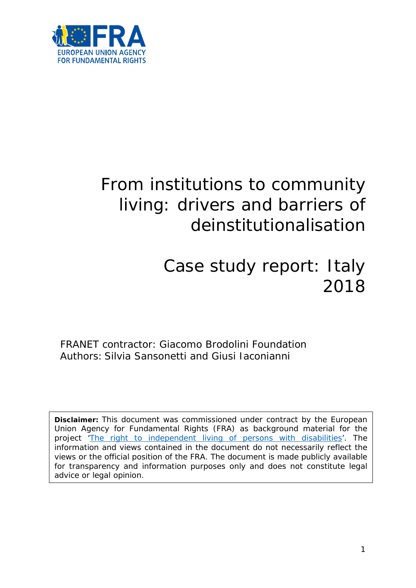

# From institutions to community living: drivers and barriers of deinstitutionalisation

# Case study report: Italy 2018

FRANET contractor: Giacomo Brodolini Foundation Authors: Silvia Sansonetti and Giusi Jaconianni

**Disclaimer:** This document was commissioned under contract by the European Union Agency for Fundamental Rights (FRA) as background material for the project ['The right to independent living of persons with disabilities'](http://fra.europa.eu/en/project/2014/right-independent-living-persons-disabilities). The information and views contained in the document do not necessarily reflect the views or the official position of the FRA. The document is made publicly available for transparency and information purposes only and does not constitute legal advice or legal opinion.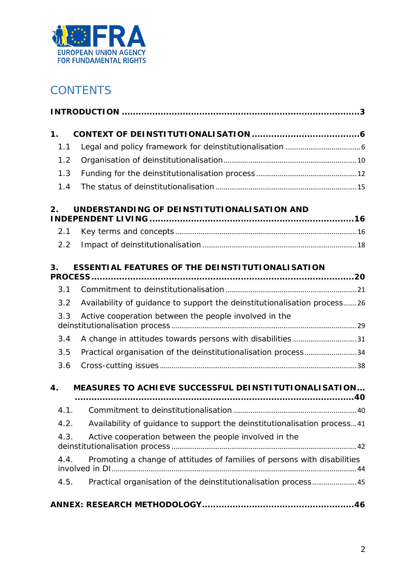

# **CONTENTS**

| 1.   |                                                                          |  |  |
|------|--------------------------------------------------------------------------|--|--|
| 1.1  |                                                                          |  |  |
| 1.2  |                                                                          |  |  |
| 1.3  |                                                                          |  |  |
| 1.4  |                                                                          |  |  |
| 2.   | UNDERSTANDING OF DEINSTITUTIONALISATION AND                              |  |  |
| 2.1  |                                                                          |  |  |
| 2.2  |                                                                          |  |  |
| 3.   | <b>ESSENTIAL FEATURES OF THE DEINSTITUTIONALISATION</b>                  |  |  |
| 3.1  |                                                                          |  |  |
| 3.2  | Availability of quidance to support the deinstitutionalisation process26 |  |  |
| 3.3  | Active cooperation between the people involved in the                    |  |  |
| 3.4  | A change in attitudes towards persons with disabilities 31               |  |  |
| 3.5  | Practical organisation of the deinstitutionalisation process34           |  |  |
| 3.6  |                                                                          |  |  |
| 4.   | MEASURES TO ACHIEVE SUCCESSFUL DEINSTITUTIONALISATION                    |  |  |
|      |                                                                          |  |  |
| 4.1. |                                                                          |  |  |
| 4.2. | Availability of guidance to support the deinstitutionalisation process41 |  |  |
| 4.3. | Active cooperation between the people involved in the                    |  |  |
| 4.4. | Promoting a change of attitudes of families of persons with disabilities |  |  |
| 4.5. | Practical organisation of the deinstitutionalisation process45           |  |  |
|      |                                                                          |  |  |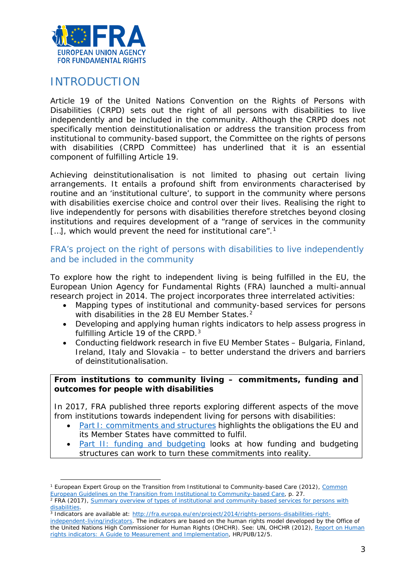

# <span id="page-2-0"></span>INTRODUCTION

l

Article 19 of the United Nations Convention on the Rights of Persons with Disabilities (CRPD) sets out the right of all persons with disabilities to live independently and be included in the community. Although the CRPD does not specifically mention deinstitutionalisation or address the transition process from institutional to community-based support, the Committee on the rights of persons with disabilities (CRPD Committee) has underlined that it is an essential component of fulfilling Article 19.

Achieving deinstitutionalisation is not limited to phasing out certain living arrangements. It entails a profound shift from environments characterised by routine and an 'institutional culture', to support in the community where persons with disabilities exercise choice and control over their lives. Realising the right to live independently for persons with disabilities therefore stretches beyond closing institutions and requires development of a "range of services in the community [...], which would prevent the need for institutional care".<sup>[1](#page-2-1)</sup>

# FRA's project on the right of persons with disabilities to live independently and be included in the community

To explore how the right to independent living is being fulfilled in the EU, the European Union Agency for Fundamental Rights (FRA) launched a multi-annual research project in 2014. The project incorporates three interrelated activities:

- Mapping types of institutional and community-based services for persons with disabilities in the [2](#page-2-2)8 EU Member States.<sup>2</sup>
- Developing and applying human rights indicators to help assess progress in fulfilling Article 19 of the CRPD.<sup>[3](#page-2-3)</sup>
- Conducting fieldwork research in five EU Member States Bulgaria, Finland, Ireland, Italy and Slovakia – to better understand the drivers and barriers of deinstitutionalisation.

#### **From institutions to community living – commitments, funding and outcomes for people with disabilities**

In 2017, FRA published three reports exploring different aspects of the move from institutions towards independent living for persons with disabilities:

- [Part I: commitments and structures](http://fra.europa.eu/en/publication/2017/independent-living-structures) highlights the obligations the EU and its Member States have committed to fulfil.
- [Part II: funding and budgeting](http://fra.europa.eu/en/publication/2017/independent-living-funding) looks at how funding and budgeting structures can work to turn these commitments into reality.

<span id="page-2-1"></span><sup>1</sup> European Expert Group on the Transition from Institutional to Community-based Care (2012), *[Common](http://www.deinstitutionalisationguide.eu/)  [European Guidelines on the Transition from Institutional to Community-based Care](http://www.deinstitutionalisationguide.eu/)*, p. 27.

<span id="page-2-2"></span><sup>2</sup> FRA (2017), *[Summary overview of types of institutional and community-based services for persons with](http://fra.europa.eu/sites/default/files/fra_uploads/2017-10-independent-living-mapping-paper_en.pdf)  [disabilities.](http://fra.europa.eu/sites/default/files/fra_uploads/2017-10-independent-living-mapping-paper_en.pdf)*

<span id="page-2-3"></span><sup>3</sup> Indicators are available at: [http://fra.europa.eu/en/project/2014/rights-persons-disabilities-right-](http://fra.europa.eu/en/project/2014/rights-persons-disabilities-right-independent-living/indicators)

[independent-living/indicators.](http://fra.europa.eu/en/project/2014/rights-persons-disabilities-right-independent-living/indicators) The indicators are based on the human rights model developed by the Office of the United Nations High Commissioner for Human Rights (OHCHR). See: UN, OHCHR (2012), *[Report on Human](http://www.ohchr.org/Documents/Publications/Human_rights_indicators_en.pdf)  [rights indicators: A Guide to Measurement and Implementation](http://www.ohchr.org/Documents/Publications/Human_rights_indicators_en.pdf)*, HR/PUB/12/5.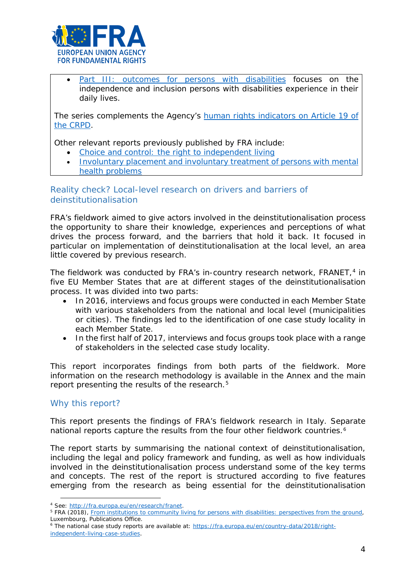

[Part III: outcomes for persons with disabilities](http://fra.europa.eu/en/publication/2017/independent-living-outcomes) focuses on the independence and inclusion persons with disabilities experience in their daily lives.

The series complements the Agency's [human rights indicators on Article 19 of](http://fra.europa.eu/en/publication/2017/indicators-article-19-crpd)  [the CRPD.](http://fra.europa.eu/en/publication/2017/indicators-article-19-crpd)

Other relevant reports previously published by FRA include:

- [Choice and control: the right to independent living](http://fra.europa.eu/en/publication/2012/choice-and-control-right-independent-living)
- [Involuntary placement and involuntary treatment of persons with mental](http://fra.europa.eu/en/publication/2012/involuntary-placement-and-involuntary-treatment-persons-mental-health-problems)  [health problems](http://fra.europa.eu/en/publication/2012/involuntary-placement-and-involuntary-treatment-persons-mental-health-problems)

Reality check? Local-level research on drivers and barriers of deinstitutionalisation

FRA's fieldwork aimed to give actors involved in the deinstitutionalisation process the opportunity to share their knowledge, experiences and perceptions of what drives the process forward, and the barriers that hold it back. It focused in particular on implementation of deinstitutionalisation at the local level, an area little covered by previous research.

The fieldwork was conducted by FRA's in-country research network, FRANET,<sup>[4](#page-3-0)</sup> in five EU Member States that are at different stages of the deinstitutionalisation process. It was divided into two parts:

- In 2016, interviews and focus groups were conducted in each Member State with various stakeholders from the national and local level (municipalities or cities). The findings led to the identification of one case study locality in each Member State.
- In the first half of 2017, interviews and focus groups took place with a range of stakeholders in the selected case study locality.

This report incorporates findings from both parts of the fieldwork. More information on the research methodology is available in the Annex and the main report presenting the results of the research.<sup>[5](#page-3-1)</sup>

#### Why this report?

 $\overline{a}$ 

This report presents the findings of FRA's fieldwork research in Italy. Separate national reports capture the results from the four other fieldwork countries.<sup>[6](#page-3-2)</sup>

The report starts by summarising the national context of deinstitutionalisation, including the legal and policy framework and funding, as well as how individuals involved in the deinstitutionalisation process understand some of the key terms and concepts. The rest of the report is structured according to five features emerging from the research as being essential for the deinstitutionalisation

<span id="page-3-1"></span><span id="page-3-0"></span><sup>4</sup> See: [http://fra.europa.eu/en/research/franet.](http://fra.europa.eu/en/research/franet)<br><sup>5</sup> FRA (2018), *[From institutions to community living for persons with disabilities: perspectives from the ground](http://fra.europa.eu/en/publication/2018/independent-living-reality),* Luxembourg, Publications Office.

<span id="page-3-2"></span><sup>6</sup> The national case study reports are available at: [https://fra.europa.eu/en/country-data/2018/right](https://fra.europa.eu/en/country-data/2018/right-independent-living-case-studies)[independent-living-case-studies](https://fra.europa.eu/en/country-data/2018/right-independent-living-case-studies).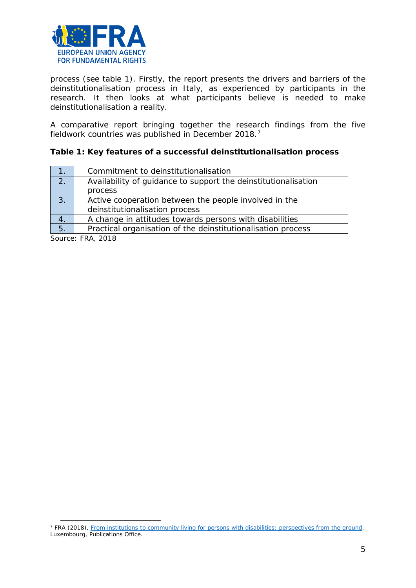

process (see table 1). Firstly, the report presents the drivers and barriers of the deinstitutionalisation process in Italy, as experienced by participants in the research. It then looks at what participants believe is needed to make deinstitutionalisation a reality.

A comparative report bringing together the research findings from the five fieldwork countries was published in December 2018.[7](#page-4-0)

#### **Table 1: Key features of a successful deinstitutionalisation process**

| 1.                   | Commitment to deinstitutionalisation                           |
|----------------------|----------------------------------------------------------------|
| 2.                   | Availability of quidance to support the deinstitutionalisation |
|                      | process                                                        |
| 3.                   | Active cooperation between the people involved in the          |
|                      | deinstitutionalisation process                                 |
| 4.                   | A change in attitudes towards persons with disabilities        |
| 5.                   | Practical organisation of the deinstitutionalisation process   |
| $\sim$ $\sim$ $\sim$ | $\overline{\phantom{a}}$                                       |

*Source: FRA, 2018*

 $\overline{a}$ 

<span id="page-4-0"></span><sup>7</sup> FRA (2018), *[From institutions to community living for persons with disabilities: perspectives from the ground](http://fra.europa.eu/en/publication/2018/independent-living-reality)*, Luxembourg, Publications Office.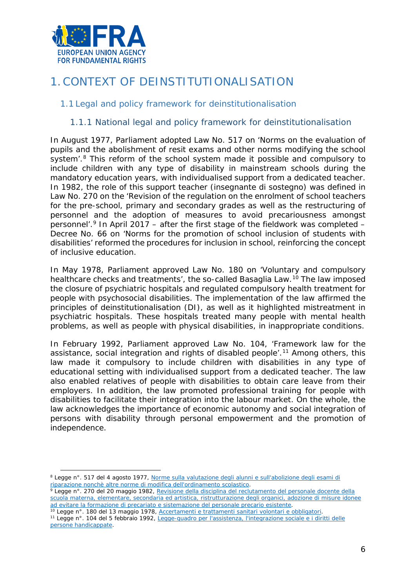

# <span id="page-5-0"></span>1.CONTEXT OF DEINSTITUTIONALISATION

# <span id="page-5-1"></span>1.1 Legal and policy framework for deinstitutionalisation

## 1.1.1 National legal and policy framework for deinstitutionalisation

In August 1977, Parliament adopted Law No. 517 on 'Norms on the evaluation of pupils and the abolishment of resit exams and other norms modifying the school system'.<sup>[8](#page-5-2)</sup> This reform of the school system made it possible and compulsory to include children with any type of disability in mainstream schools during the mandatory education years, with individualised support from a dedicated teacher. In 1982, the role of this support teacher (*insegnante di sostegno*) was defined in Law No. 270 on the 'Revision of the regulation on the enrolment of school teachers for the pre-school, primary and secondary grades as well as the restructuring of personnel and the adoption of measures to avoid precariousness amongst personnel'.<sup>9</sup> In April 2017 – after the first stage of the fieldwork was completed – Decree No. 66 on 'Norms for the promotion of school inclusion of students with disabilities' reformed the procedures for inclusion in school, reinforcing the concept of inclusive education.

In May 1978, Parliament approved Law No. 180 on 'Voluntary and compulsory healthcare checks and treatments', the so-called Basaglia Law.<sup>[10](#page-5-4)</sup> The law imposed the closure of psychiatric hospitals and regulated compulsory health treatment for people with psychosocial disabilities. The implementation of the law affirmed the principles of deinstitutionalisation (DI), as well as it highlighted mistreatment in psychiatric hospitals. These hospitals treated many people with mental health problems, as well as people with physical disabilities, in inappropriate conditions.

In February 1992, Parliament approved Law No. 104, 'Framework law for the assistance, social integration and rights of disabled people'.<sup>[11](#page-5-5)</sup> Among others, this law made it compulsory to include children with disabilities in any type of educational setting with individualised support from a dedicated teacher. The law also enabled relatives of people with disabilities to obtain care leave from their employers. In addition, the law promoted professional training for people with disabilities to facilitate their integration into the labour market. On the whole, the law acknowledges the importance of economic autonomy and social integration of persons with disability through personal empowerment and the promotion of independence.

<span id="page-5-2"></span><sup>8</sup> Legge n°. 517 del 4 agosto 1977, *[Norme sulla valutazione degli](http://www.gazzettaufficiale.it/eli/id/1977/08/18/077U0517/sg) alunni e sull'abolizione degli esami di [riparazione nonchè altre norme di modifica dell'ordinamento scolastico](http://www.gazzettaufficiale.it/eli/id/1977/08/18/077U0517/sg)*.  $\overline{a}$ 

<span id="page-5-3"></span><sup>9</sup> Legge n°. 270 del 20 maggio 1982, *[Revisione della disciplina del reclutamento del personale docente della](http://www.gazzettaufficiale.it/eli/id/1982/05/22/082U0270/sg)  [scuola materna, elementare, secondaria ed artistica, ristrutturazione degli organici, adozione di misure idonee](http://www.gazzettaufficiale.it/eli/id/1982/05/22/082U0270/sg)  [ad evitare la formazione di precariato e sistemazione del personale precario esistente](http://www.gazzettaufficiale.it/eli/id/1982/05/22/082U0270/sg)*.

<span id="page-5-5"></span><span id="page-5-4"></span><sup>10</sup> Legge n°. 180 del 13 maggio 1978*, [Accertamenti e trattamenti sanitari volontari e obbligatori](http://www.gazzettaufficiale.it/eli/id/1978/05/16/078U0180/sg)*. <sup>11</sup> Legge n°. 104 del 5 febbraio 1992*[, Legge-quadro per l'assistenza, l'integrazione sociale e i diritti delle](http://www.gazzettaufficiale.it/eli/id/1992/02/17/092G0108/sg)  [persone handicappate](http://www.gazzettaufficiale.it/eli/id/1992/02/17/092G0108/sg)*.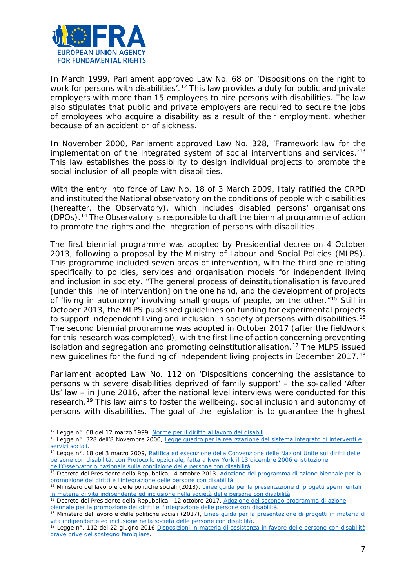

In March 1999, Parliament approved Law No. 68 on 'Dispositions on the right to work for persons with disabilities'.<sup>[12](#page-6-0)</sup> This law provides a duty for public and private employers with more than 15 employees to hire persons with disabilities. The law also stipulates that public and private employers are required to secure the jobs of employees who acquire a disability as a result of their employment, whether because of an accident or of sickness.

In November 2000, Parliament approved Law No. 328, 'Framework law for the implementation of the integrated system of social interventions and services.<sup>[13](#page-6-1)</sup> This law establishes the possibility to design individual projects to promote the social inclusion of all people with disabilities.

With the entry into force of Law No. 18 of 3 March 2009, Italy ratified the CRPD and instituted the National observatory on the conditions of people with disabilities (hereafter, the Observatory), which includes disabled persons' organisations (DPOs).[14](#page-6-2) The Observatory is responsible to draft the biennial programme of action to promote the rights and the integration of persons with disabilities.

The first biennial programme was adopted by Presidential decree on 4 October 2013, following a proposal by the Ministry of Labour and Social Policies (MLPS). This programme included seven areas of intervention, with the third one relating specifically to policies, services and organisation models for independent living and inclusion in society. "The general process of deinstitutionalisation is favoured [under this line of intervention] on the one hand, and the development of projects of 'living in autonomy' involving small groups of people, on the other."[15](#page-6-3) Still in October 2013, the MLPS published guidelines on funding for experimental projects to support independent living and inclusion in society of persons with disabilities.<sup>[16](#page-6-4)</sup> The second biennial programme was adopted in October 2017 (after the fieldwork for this research was completed), with the first line of action concerning preventing isolation and segregation and promoting deinstitutionalisation.<sup>[17](#page-6-5)</sup> The MLPS issued new guidelines for the funding of independent living projects in December 2017.[18](#page-6-6)

Parliament adopted Law No. 112 on 'Dispositions concerning the assistance to persons with severe disabilities deprived of family support' – the so-called 'After Us' law – in June 2016, after the national level interviews were conducted for this research.<sup>[19](#page-6-7)</sup> This law aims to foster the wellbeing, social inclusion and autonomy of persons with disabilities. The goal of the legislation is to guarantee the highest

<span id="page-6-5"></span><sup>17</sup> Decreto del Presidente della Repubblica, 12 ottobre 2017, *[Adozione del secondo programma di azione](http://www.gazzettaufficiale.it/eli/id/2017/12/12/17A08310/SG)  [biennale per la promozione dei diritti e l'integrazione delle persone con disabilità.](http://www.gazzettaufficiale.it/eli/id/2017/12/12/17A08310/SG)*

<sup>12</sup> Legge n°. 68 del 12 marzo 1999*[, Norme per il diritto al lavoro dei disabili](http://www.gazzettaufficiale.it/eli/id/1999/03/23/099G0123/sg)*.  $\overline{a}$ 

<span id="page-6-1"></span><span id="page-6-0"></span><sup>13</sup> Legge n°. 328 dell'8 Novembre 2000*, [Legge quadro per la realizzazione del sistema integrato di interventi e](http://www.gazzettaufficiale.it/eli/id/2000/11/13/000G0369/sg)  [servizi sociali](http://www.gazzettaufficiale.it/eli/id/2000/11/13/000G0369/sg)*.

<span id="page-6-2"></span><sup>14</sup> Legge n°. 18 del 3 marzo 2009*[, Ratifica ed esecuzione della Convenzione delle Nazioni Unite sui diritti delle](http://www.gazzettaufficiale.it/eli/id/2009/03/14/009G0027/sg)  [persone con disabilità, con Protocollo opzionale, fatta a New York il 13 dicembre 2006 e istituzione](http://www.gazzettaufficiale.it/eli/id/2009/03/14/009G0027/sg) dell'Osservatorio nazionale sulla condizione delle [persone con disabilità](http://www.gazzettaufficiale.it/eli/id/2009/03/14/009G0027/sg)*.

<span id="page-6-3"></span><sup>15</sup> Decreto del Presidente della Repubblica, 4 ottobre 2013. *[Adozione del programma di azione biennale per la](http://www.gazzettaufficiale.it/eli/id/2013/12/28/13A10469/sg)  [promozione dei diritti e l'integrazione delle persone con disabilità](http://www.gazzettaufficiale.it/eli/id/2013/12/28/13A10469/sg)*.

<span id="page-6-4"></span><sup>16</sup> Ministero del lavoro e delle politiche sociali (2013), *[Linee guida per la presentazione di progetti sperimentali](http://www.lavoro.gov.it/temi-e-priorita/disabilita-e-non-autosufficienza/focus-on/Vita-indipendente/Documents/prime%20Linee%20Guida.pdf)  [in materia di vita indipendente ed inclusione nella società delle persone con disabilità](http://www.lavoro.gov.it/temi-e-priorita/disabilita-e-non-autosufficienza/focus-on/Vita-indipendente/Documents/prime%20Linee%20Guida.pdf)*.

<span id="page-6-6"></span><sup>18</sup> Ministero del lavoro e delle politiche sociali (2017), *[Linee guida per la presentazione di progetti in materia di](http://www.lavoro.gov.it/documenti-e-norme/normative/Documents/2017/DD-808-del-29dic2017-Linee-guida-vita-indipendente-anno-2017.pdf)  [vita indipendente ed inclusione nella società delle persone con disabilità](http://www.lavoro.gov.it/documenti-e-norme/normative/Documents/2017/DD-808-del-29dic2017-Linee-guida-vita-indipendente-anno-2017.pdf)*.

<span id="page-6-7"></span><sup>19</sup> Legge n°. 112 del 22 giugno 2016 *[Disposizioni in materia di assistenza in favore delle persone con disabilità](http://www.gazzettaufficiale.it/eli/id/2016/06/24/16G00125/sg)  [grave prive del sostegno famigliare](http://www.gazzettaufficiale.it/eli/id/2016/06/24/16G00125/sg)*.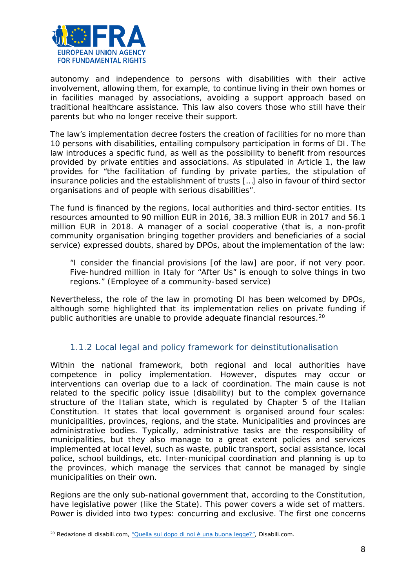

autonomy and independence to persons with disabilities with their active involvement, allowing them, for example, to continue living in their own homes or in facilities managed by associations, avoiding a support approach based on traditional healthcare assistance. This law also covers those who still have their parents but who no longer receive their support.

The law's implementation decree fosters the creation of facilities for no more than 10 persons with disabilities, entailing compulsory participation in forms of DI. The law introduces a specific fund, as well as the possibility to benefit from resources provided by private entities and associations. As stipulated in Article 1, the law provides for "the facilitation of funding by private parties, the stipulation of insurance policies and the establishment of trusts […] also in favour of third sector organisations and of people with serious disabilities".

The fund is financed by the regions, local authorities and third-sector entities. Its resources amounted to 90 million EUR in 2016, 38.3 million EUR in 2017 and 56.1 million EUR in 2018. A manager of a social cooperative (that is, a non-profit community organisation bringing together providers and beneficiaries of a social service) expressed doubts, shared by DPOs, about the implementation of the law:

*"I consider the financial provisions [of the law] are poor, if not very poor. Five-hundred million in Italy for "After Us" is enough to solve things in two regions." (Employee of a community-based service)*

Nevertheless, the role of the law in promoting DI has been welcomed by DPOs, although some highlighted that its implementation relies on private funding if public authorities are unable to provide adequate financial resources.<sup>[20](#page-7-0)</sup>

# 1.1.2 Local legal and policy framework for deinstitutionalisation

Within the national framework, both regional and local authorities have competence in policy implementation. However, disputes may occur or interventions can overlap due to a lack of coordination. The main cause is not related to the specific policy issue (disability) but to the complex governance structure of the Italian state, which is regulated by Chapter 5 of the Italian Constitution. It states that local government is organised around four scales: municipalities, provinces, regions, and the state. Municipalities and provinces are administrative bodies. Typically, administrative tasks are the responsibility of municipalities, but they also manage to a great extent policies and services implemented at local level, such as waste, public transport, social assistance, local police, school buildings, etc. Inter-municipal coordination and planning is up to the provinces, which manage the services that cannot be managed by single municipalities on their own.

Regions are the only sub-national government that, according to the Constitution, have legislative power (like the State). This power covers a wide set of matters. Power is divided into two types: concurring and exclusive. The first one concerns

 $\overline{a}$ 

<span id="page-7-0"></span><sup>20</sup> Redazione di disabili.com, ["Quella sul dopo di noi è una buona legge?",](http://www.disabili.com/legge-e-fisco/articoli-legge-e-fisco/quella-sul-dopo-di-noi-e-una-buona-legge-2) *Disabili.com*.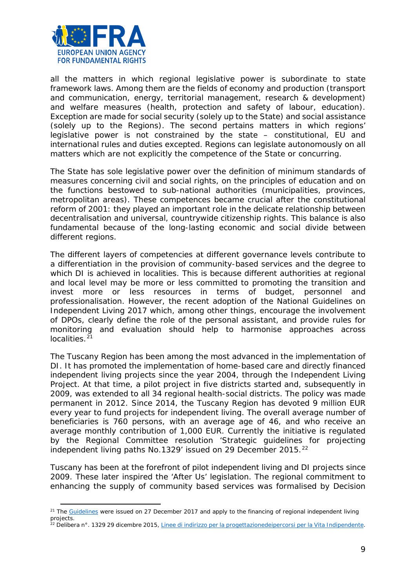

l

all the matters in which regional legislative power is subordinate to state framework laws. Among them are the fields of economy and production (transport and communication, energy, territorial management, research & development) and welfare measures (health, protection and safety of labour, education). Exception are made for social security (solely up to the State) and social assistance (solely up to the Regions). The second pertains matters in which regions' legislative power is not constrained by the state – constitutional, EU and international rules and duties excepted. Regions can legislate autonomously on all matters which are not explicitly the competence of the State or concurring.

The State has sole legislative power over the definition of minimum standards of measures concerning civil and social rights, on the principles of education and on the functions bestowed to sub-national authorities (municipalities, provinces, metropolitan areas). These competences became crucial after the constitutional reform of 2001: they played an important role in the delicate relationship between decentralisation and universal, countrywide citizenship rights. This balance is also fundamental because of the long-lasting economic and social divide between different regions.

The different layers of competencies at different governance levels contribute to a differentiation in the provision of community-based services and the degree to which DI is achieved in localities. This is because different authorities at regional and local level may be more or less committed to promoting the transition and invest more or less resources in terms of budget, personnel and professionalisation. However, the recent adoption of the National Guidelines on Independent Living 2017 which, among other things, encourage the involvement of DPOs, clearly define the role of the personal assistant, and provide rules for monitoring and evaluation should help to harmonise approaches across localities.<sup>[21](#page-8-0)</sup>

The Tuscany Region has been among the most advanced in the implementation of DI. It has promoted the implementation of home-based care and directly financed independent living projects since the year 2004, through the *Independent Living Project*. At that time, a pilot project in five districts started and, subsequently in 2009, was extended to all 34 regional health-social districts. The policy was made permanent in 2012. Since 2014, the Tuscany Region has devoted 9 million EUR every year to fund projects for independent living. The overall average number of beneficiaries is 760 persons, with an average age of 46, and who receive an average monthly contribution of 1,000 EUR. Currently the initiative is regulated by the Regional Committee resolution 'Strategic guidelines for projecting independent living paths No.1329' issued on 29 December 2015.<sup>[22](#page-8-1)</sup>

Tuscany has been at the forefront of pilot independent living and DI projects since 2009. These later inspired the 'After Us' legislation. The regional commitment to enhancing the supply of community based services was formalised by Decision

<span id="page-8-0"></span><sup>&</sup>lt;sup>21</sup> Th[e Guidelines](http://www.lavoro.gov.it/documenti-e-norme/normative/Documents/2017/DD-808-del-29dic2017-Linee-guida-vita-indipendente-anno-2017.pdf) were issued on 27 December 2017 and apply to the financing of regional independent living projects.

<span id="page-8-1"></span><sup>22</sup> Delibera n°. 1329 29 dicembre 2015*, Linee di indirizzo per la progettazionedeipercorsi per la Vita Indipendente.*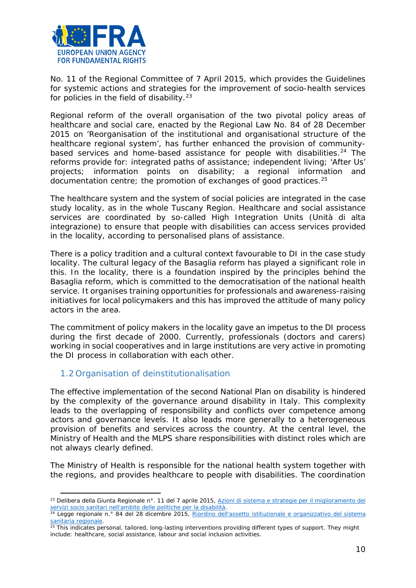

No. 11 of the Regional Committee of 7 April 2015, which provides the Guidelines for systemic actions and strategies for the improvement of socio-health services for policies in the field of disability. $23$ 

Regional reform of the overall organisation of the two pivotal policy areas of healthcare and social care, enacted by the Regional Law No. 84 of 28 December 2015 on 'Reorganisation of the institutional and organisational structure of the healthcare regional system', has further enhanced the provision of community-based services and home-based assistance for people with disabilities.<sup>[24](#page-9-2)</sup> The reforms provide for: integrated paths of assistance; independent living; 'After Us' projects; information points on disability; a regional information and documentation centre; the promotion of exchanges of good practices.[25](#page-9-3)

The healthcare system and the system of social policies are integrated in the case study locality, as in the whole Tuscany Region. Healthcare and social assistance services are coordinated by so-called High Integration Units (*Unità di alta integrazione*) to ensure that people with disabilities can access services provided in the locality, according to personalised plans of assistance.

There is a policy tradition and a cultural context favourable to DI in the case study locality. The cultural legacy of the Basaglia reform has played a significant role in this. In the locality, there is a foundation inspired by the principles behind the Basaglia reform, which is committed to the democratisation of the national health service. It organises training opportunities for professionals and awareness-raising initiatives for local policymakers and this has improved the attitude of many policy actors in the area.

The commitment of policy makers in the locality gave an impetus to the DI process during the first decade of 2000. Currently, professionals (doctors and carers) working in social cooperatives and in large institutions are very active in promoting the DI process in collaboration with each other.

# <span id="page-9-0"></span>1.2 Organisation of deinstitutionalisation

l

The effective implementation of the second National Plan on disability is hindered by the complexity of the governance around disability in Italy. This complexity leads to the overlapping of responsibility and conflicts over competence among actors and governance levels. It also leads more generally to a heterogeneous provision of benefits and services across the country. At the central level, the Ministry of Health and the MLPS share responsibilities with distinct roles which are not always clearly defined.

The Ministry of Health is responsible for the national health system together with the regions, and provides healthcare to people with disabilities. The coordination

<span id="page-9-1"></span><sup>23</sup> Delibera della Giunta Regionale n°. 11 del 7 aprile 2015*[, Azioni di sistema e strategie per il miglioramento dei](http://www.irisonline.it/web/images/News13apr15/decisione_n.11_del_07-04-2015-allegato-a.pdf)  [servizi socio sanitari nell'ambito delle politiche per la disabilità.](http://www.irisonline.it/web/images/News13apr15/decisione_n.11_del_07-04-2015-allegato-a.pdf)*

<span id="page-9-2"></span><sup>24</sup> Legge regionale n.° 84 del 28 dicembre 2015*, [Riordino dell'assetto istituzionale e organizzativo del sistema](http://raccoltanormativa.consiglio.regione.toscana.it/articolo?urndoc=urn:nir:regione.toscana:legge:2015-12-28;84)  sanitaria regionale*[.](http://raccoltanormativa.consiglio.regione.toscana.it/articolo?urndoc=urn:nir:regione.toscana:legge:2015-12-28;84) 25 This indicates personal, tailored, long-lasting interventions providing different types of support. They might

<span id="page-9-3"></span>include: healthcare, social assistance, labour and social inclusion activities.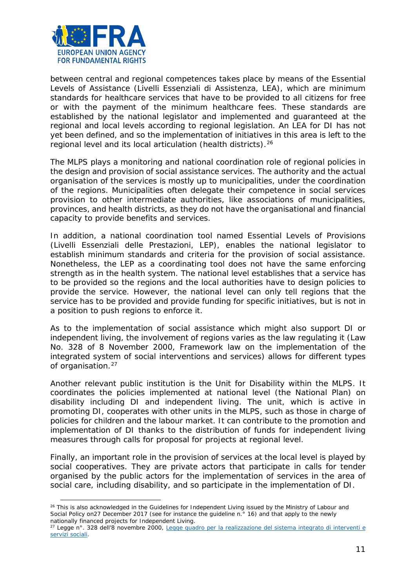

l

between central and regional competences takes place by means of the Essential Levels of Assistance (*Livelli Essenziali di Assistenza, LEA*), which are minimum standards for healthcare services that have to be provided to all citizens for free or with the payment of the minimum healthcare fees. These standards are established by the national legislator and implemented and guaranteed at the regional and local levels according to regional legislation. An LEA for DI has not yet been defined, and so the implementation of initiatives in this area is left to the regional level and its local articulation (health districts).[26](#page-10-0)

The MLPS plays a monitoring and national coordination role of regional policies in the design and provision of social assistance services. The authority and the actual organisation of the services is mostly up to municipalities, under the coordination of the regions. Municipalities often delegate their competence in social services provision to other intermediate authorities, like associations of municipalities, provinces, and health districts, as they do not have the organisational and financial capacity to provide benefits and services.

In addition, a national coordination tool named Essential Levels of Provisions (*Livelli Essenziali delle Prestazioni, LEP*), enables the national legislator to establish minimum standards and criteria for the provision of social assistance. Nonetheless, the LEP as a coordinating tool does not have the same enforcing strength as in the health system. The national level establishes that a service has to be provided so the regions and the local authorities have to design policies to provide the service. However, the national level can only tell regions that the service has to be provided and provide funding for specific initiatives, but is not in a position to push regions to enforce it.

As to the implementation of social assistance which might also support DI or independent living, the involvement of regions varies as the law regulating it (Law No. 328 of 8 November 2000, Framework law on the implementation of the integrated system of social interventions and services) allows for different types of organisation.<sup>[27](#page-10-1)</sup>

Another relevant public institution is the Unit for Disability within the MLPS. It coordinates the policies implemented at national level (the National Plan) on disability including DI and independent living. The unit, which is active in promoting DI, cooperates with other units in the MLPS, such as those in charge of policies for children and the labour market. It can contribute to the promotion and implementation of DI thanks to the distribution of funds for independent living measures through calls for proposal for projects at regional level.

Finally, an important role in the provision of services at the local level is played by social cooperatives. They are private actors that participate in calls for tender organised by the public actors for the implementation of services in the area of social care, including disability, and so participate in the implementation of DI.

<span id="page-10-0"></span><sup>&</sup>lt;sup>26</sup> This is also acknowledged in the Guidelines for Independent Living issued by the Ministry of Labour and Social Policy on27 December 2017 (see for instance the guideline n.<sup>°</sup> 16) and that apply to the newly nationally financed projects for Independent Living.

<span id="page-10-1"></span><sup>27</sup> Legge n°. 328 dell'8 novembre 2000*, [Legge quadro per la realizzazione del sistema integrato di interventi e](http://www.parlamento.it/parlam/leggi/00328l.htm)  [servizi sociali](http://www.parlamento.it/parlam/leggi/00328l.htm)*.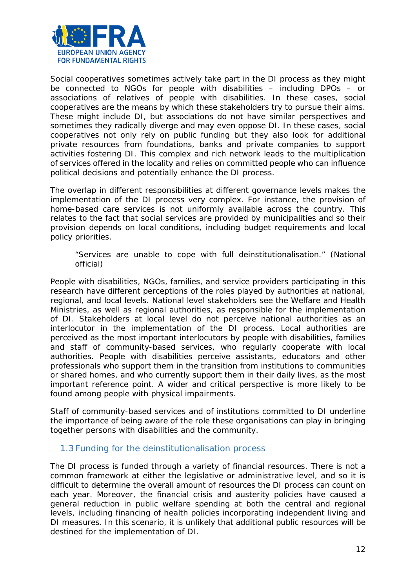

Social cooperatives sometimes actively take part in the DI process as they might be connected to NGOs for people with disabilities – including DPOs – or associations of relatives of people with disabilities. In these cases, social cooperatives are the means by which these stakeholders try to pursue their aims. These might include DI, but associations do not have similar perspectives and sometimes they radically diverge and may even oppose DI. In these cases, social cooperatives not only rely on public funding but they also look for additional private resources from foundations, banks and private companies to support activities fostering DI. This complex and rich network leads to the multiplication of services offered in the locality and relies on committed people who can influence political decisions and potentially enhance the DI process.

The overlap in different responsibilities at different governance levels makes the implementation of the DI process very complex. For instance, the provision of home-based care services is not uniformly available across the country. This relates to the fact that social services are provided by municipalities and so their provision depends on local conditions, including budget requirements and local policy priorities.

#### *"Services are unable to cope with full deinstitutionalisation."* (National official)

People with disabilities, NGOs, families, and service providers participating in this research have different perceptions of the roles played by authorities at national, regional, and local levels. National level stakeholders see the Welfare and Health Ministries, as well as regional authorities, as responsible for the implementation of DI. Stakeholders at local level do not perceive national authorities as an interlocutor in the implementation of the DI process. Local authorities are perceived as the most important interlocutors by people with disabilities, families and staff of community-based services, who regularly cooperate with local authorities. People with disabilities perceive assistants, educators and other professionals who support them in the transition from institutions to communities or shared homes, and who currently support them in their daily lives, as the most important reference point. A wider and critical perspective is more likely to be found among people with physical impairments.

Staff of community-based services and of institutions committed to DI underline the importance of being aware of the role these organisations can play in bringing together persons with disabilities and the community.

# <span id="page-11-0"></span>1.3 Funding for the deinstitutionalisation process

The DI process is funded through a variety of financial resources. There is not a common framework at either the legislative or administrative level, and so it is difficult to determine the overall amount of resources the DI process can count on each year. Moreover, the financial crisis and austerity policies have caused a general reduction in public welfare spending at both the central and regional levels, including financing of health policies incorporating independent living and DI measures. In this scenario, it is unlikely that additional public resources will be destined for the implementation of DI.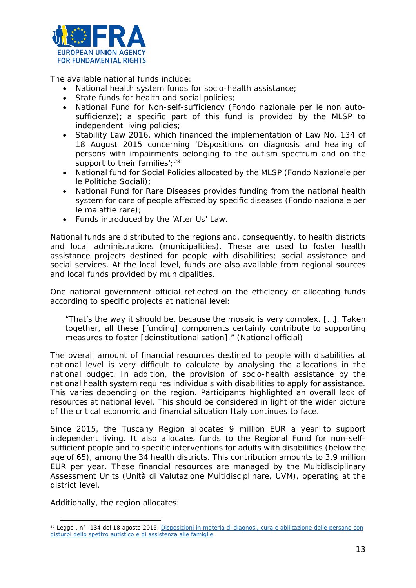

The available national funds include:

- National health system funds for socio-health assistance;
- State funds for health and social policies;
- National Fund for Non-self-sufficiency (*Fondo nazionale per le non autosufficienze*); a specific part of this fund is provided by the MLSP to independent living policies;
- Stability Law 2016, which financed the implementation of Law No. 134 of 18 August 2015 concerning 'Dispositions on diagnosis and healing of persons with impairments belonging to the autism spectrum and on the support to their families';  $28$
- National fund for Social Policies allocated by the MLSP (*Fondo Nazionale per le Politiche Sociali*);
- National Fund for Rare Diseases provides funding from the national health system for care of people affected by specific diseases (*Fondo nazionale per le malattie rare*);
- Funds introduced by the 'After Us' Law.

National funds are distributed to the regions and, consequently, to health districts and local administrations (municipalities). These are used to foster health assistance projects destined for people with disabilities; social assistance and social services. At the local level, funds are also available from regional sources and local funds provided by municipalities.

One national government official reflected on the efficiency of allocating funds according to specific projects at national level:

*"That's the way it should be, because the mosaic is very complex. […]. Taken together, all these [funding] components certainly contribute to supporting measures to foster [deinstitutionalisation]."* (National official)

The overall amount of financial resources destined to people with disabilities at national level is very difficult to calculate by analysing the allocations in the national budget. In addition, the provision of socio-health assistance by the national health system requires individuals with disabilities to apply for assistance. This varies depending on the region. Participants highlighted an overall lack of resources at national level. This should be considered in light of the wider picture of the critical economic and financial situation Italy continues to face.

Since 2015, the Tuscany Region allocates 9 million EUR a year to support independent living. It also allocates funds to the Regional Fund for non-selfsufficient people and to specific interventions for adults with disabilities (below the age of 65), among the 34 health districts. This contribution amounts to 3.9 million EUR per year. These financial resources are managed by the Multidisciplinary Assessment Units (*Unità di Valutazione Multidisciplinare, UVM*), operating at the district level.

Additionally, the region allocates:

 $\overline{a}$ 

<span id="page-12-0"></span><sup>28</sup> Legge , n°. 134 del 18 agosto 2015*, [Disposizioni in materia di diagnosi, cura e abilitazione delle persone con](http://www.gazzettaufficiale.it/eli/id/2015/08/28/15G00139/sg)  [disturbi dello spettro autistico e di assistenza alle famiglie](http://www.gazzettaufficiale.it/eli/id/2015/08/28/15G00139/sg)*.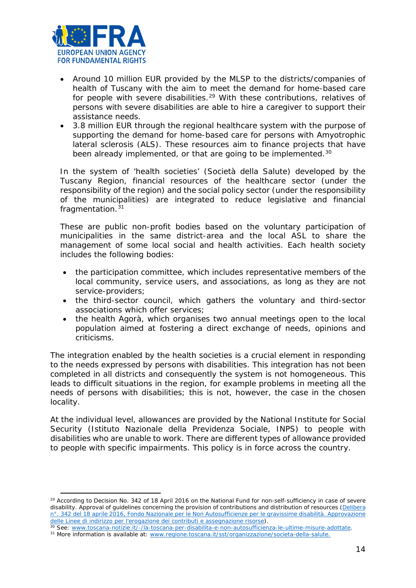

l

- Around 10 million EUR provided by the MLSP to the districts/companies of health of Tuscany with the aim to meet the demand for home-based care for people with severe disabilities.<sup>[29](#page-13-0)</sup> With these contributions, relatives of persons with severe disabilities are able to hire a caregiver to support their assistance needs.
- 3.8 million EUR through the regional healthcare system with the purpose of supporting the demand for home-based care for persons with Amyotrophic lateral sclerosis (ALS). These resources aim to finance projects that have been already implemented, or that are going to be implemented.<sup>[30](#page-13-1)</sup>

In the system of 'health societies' (*Società della Salute)* developed by the Tuscany Region, financial resources of the healthcare sector (under the responsibility of the region) and the social policy sector (under the responsibility of the municipalities) are integrated to reduce legislative and financial fragmentation.<sup>[31](#page-13-2)</sup>

These are public non-profit bodies based on the voluntary participation of municipalities in the same district-area and the local ASL to share the management of some local social and health activities. Each health society includes the following bodies:

- the participation committee, which includes representative members of the local community, service users, and associations, as long as they are not service-providers;
- the third-sector council, which gathers the voluntary and third-sector associations which offer services;
- the health Agorà, which organises two annual meetings open to the local population aimed at fostering a direct exchange of needs, opinions and criticisms.

The integration enabled by the health societies is a crucial element in responding to the needs expressed by persons with disabilities. This integration has not been completed in all districts and consequently the system is not homogeneous. This leads to difficult situations in the region, for example problems in meeting all the needs of persons with disabilities; this is not, however, the case in the chosen locality.

At the individual level, allowances are provided by the National Institute for Social Security (*Istituto Nazionale della Previdenza Sociale*, INPS) to people with disabilities who are unable to work. There are different types of allowance provided to people with specific impairments. This policy is in force across the country.

<span id="page-13-0"></span><sup>&</sup>lt;sup>29</sup> According to Decision No. 342 of 18 April 2016 on the National Fund for non-self-sufficiency in case of severe disability. Approval of guidelines concerning the provision of contributions and distribution of resources (*[Delibera](http://www.sds.firenze.it/materiali/Disabilita_gravissime/Delibera_Giunta_Regionale_n.342_del_18-04-2016.pdf)  [n°. 342 del 18 aprile 2016, Fondo Nazionale per le Non Autosufficienze per le gravissime disabilità. Approvazione](http://www.sds.firenze.it/materiali/Disabilita_gravissime/Delibera_Giunta_Regionale_n.342_del_18-04-2016.pdf)* 

<span id="page-13-1"></span>delle Linee di indirizzo per l'erogazione dei contributi e assegnazione risorse[\)](http://www.sds.firenze.it/materiali/Disabilita_gravissime/Delibera_Giunta_Regionale_n.342_del_18-04-2016.pdf).<br><sup>30</sup> See[: www.toscana-notizie.it/-/la-toscana-per-disabilita-e-non-autosufficienza-le-ultime-misure-adottate.](http://www.toscana-notizie.it/-/la-toscana-per-disabilita-e-non-autosufficienza-le-ultime-misure-adottate)<br><sup>31</sup> More information is avail

<span id="page-13-2"></span>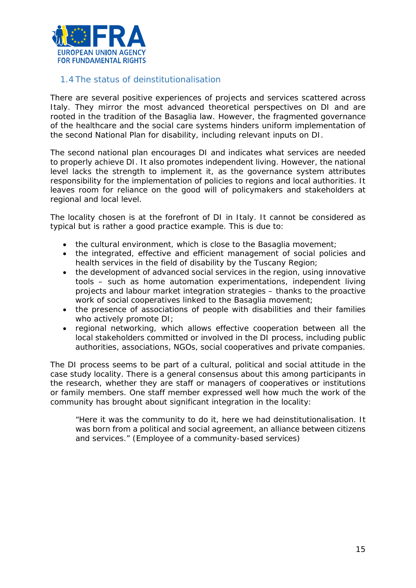

#### <span id="page-14-0"></span>1.4 The status of deinstitutionalisation

There are several positive experiences of projects and services scattered across Italy. They mirror the most advanced theoretical perspectives on DI and are rooted in the tradition of the Basaglia law. However, the fragmented governance of the healthcare and the social care systems hinders uniform implementation of the second National Plan for disability, including relevant inputs on DI.

The second national plan encourages DI and indicates what services are needed to properly achieve DI. It also promotes independent living. However, the national level lacks the strength to implement it, as the governance system attributes responsibility for the implementation of policies to regions and local authorities. It leaves room for reliance on the good will of policymakers and stakeholders at regional and local level.

The locality chosen is at the forefront of DI in Italy. It cannot be considered as typical but is rather a good practice example. This is due to:

- the cultural environment, which is close to the Basaglia movement;
- the integrated, effective and efficient management of social policies and health services in the field of disability by the Tuscany Region;
- the development of advanced social services in the region, using innovative tools – such as home automation experimentations, independent living projects and labour market integration strategies – thanks to the proactive work of social cooperatives linked to the Basaglia movement;
- the presence of associations of people with disabilities and their families who actively promote DI:
- regional networking, which allows effective cooperation between all the local stakeholders committed or involved in the DI process, including public authorities, associations, NGOs, social cooperatives and private companies.

The DI process seems to be part of a cultural, political and social attitude in the case study locality. There is a general consensus about this among participants in the research, whether they are staff or managers of cooperatives or institutions or family members. One staff member expressed well how much the work of the community has brought about significant integration in the locality:

*"Here it was the community to do it, here we had deinstitutionalisation. It was born from a political and social agreement, an alliance between citizens and services."* (Employee of a community-based services)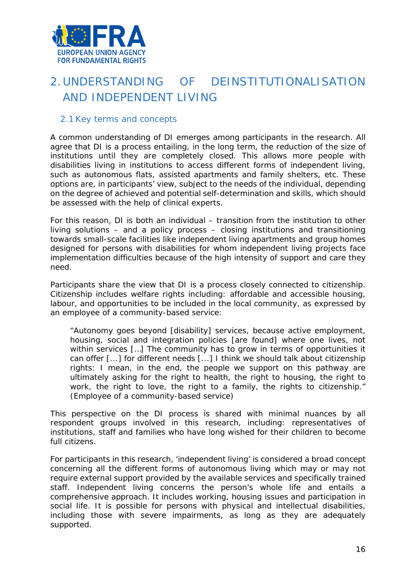

# <span id="page-15-0"></span>2.UNDERSTANDING OF DEINSTITUTIONALISATION AND INDEPENDENT LIVING

#### <span id="page-15-1"></span>2.1 Key terms and concepts

A common understanding of DI emerges among participants in the research. All agree that DI is a process entailing, in the long term, the reduction of the size of institutions until they are completely closed. This allows more people with disabilities living in institutions to access different forms of independent living, such as autonomous flats, assisted apartments and family shelters, etc. These options are, in participants' view, subject to the needs of the individual, depending on the degree of achieved and potential self-determination and skills, which should be assessed with the help of clinical experts.

For this reason, DI is both an individual – transition from the institution to other living solutions – and a policy process – closing institutions and transitioning towards small-scale facilities like independent living apartments and group homes designed for persons with disabilities for whom independent living projects face implementation difficulties because of the high intensity of support and care they need.

Participants share the view that DI is a process closely connected to citizenship. Citizenship includes welfare rights including: affordable and accessible housing, labour, and opportunities to be included in the local community, as expressed by an employee of a community-based service:

*"Autonomy goes beyond [disability] services, because active employment, housing, social and integration policies [are found] where one lives, not within services […] The community has to grow in terms of opportunities it can offer [...] for different needs [...] I think we should talk about citizenship rights: I mean, in the end, the people we support on this pathway are ultimately asking for the right to health, the right to housing, the right to work, the right to love, the right to a family, the rights to citizenship."*  (Employee of a community-based service)

This perspective on the DI process is shared with minimal nuances by all respondent groups involved in this research, including: representatives of institutions, staff and families who have long wished for their children to become full citizens.

For participants in this research, 'independent living' is considered a broad concept concerning all the different forms of autonomous living which may or may not require external support provided by the available services and specifically trained staff. Independent living concerns the person's whole life and entails a comprehensive approach. It includes working, housing issues and participation in social life. It is possible for persons with physical and intellectual disabilities, including those with severe impairments, as long as they are adequately supported.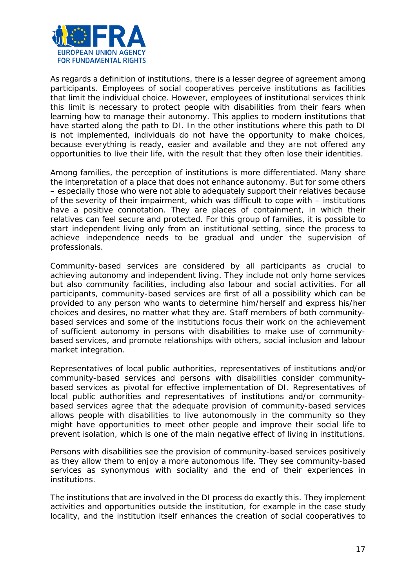

As regards a definition of institutions, there is a lesser degree of agreement among participants. Employees of social cooperatives perceive institutions as facilities that limit the individual choice. However, employees of institutional services think this limit is necessary to protect people with disabilities from their fears when learning how to manage their autonomy. This applies to modern institutions that have started along the path to DI. In the other institutions where this path to DI is not implemented, individuals do not have the opportunity to make choices, because everything is ready, easier and available and they are not offered any opportunities to live their life, with the result that they often lose their identities.

Among families, the perception of institutions is more differentiated. Many share the interpretation of a place that does not enhance autonomy. But for some others – especially those who were not able to adequately support their relatives because of the severity of their impairment, which was difficult to cope with – institutions have a positive connotation. They are places of containment, in which their relatives can feel secure and protected. For this group of families, it is possible to start independent living only from an institutional setting, since the process to achieve independence needs to be gradual and under the supervision of professionals.

Community-based services are considered by all participants as crucial to achieving autonomy and independent living. They include not only home services but also community facilities, including also labour and social activities. For all participants, community-based services are first of all a possibility which can be provided to any person who wants to determine him/herself and express his/her choices and desires, no matter what they are. Staff members of both communitybased services and some of the institutions focus their work on the achievement of sufficient autonomy in persons with disabilities to make use of communitybased services, and promote relationships with others, social inclusion and labour market integration.

Representatives of local public authorities, representatives of institutions and/or community-based services and persons with disabilities consider communitybased services as pivotal for effective implementation of DI. Representatives of local public authorities and representatives of institutions and/or communitybased services agree that the adequate provision of community-based services allows people with disabilities to live autonomously in the community so they might have opportunities to meet other people and improve their social life to prevent isolation, which is one of the main negative effect of living in institutions.

Persons with disabilities see the provision of community-based services positively as they allow them to enjoy a more autonomous life. They see community-based services as synonymous with sociality and the end of their experiences in institutions.

The institutions that are involved in the DI process do exactly this. They implement activities and opportunities outside the institution, for example in the case study locality, and the institution itself enhances the creation of social cooperatives to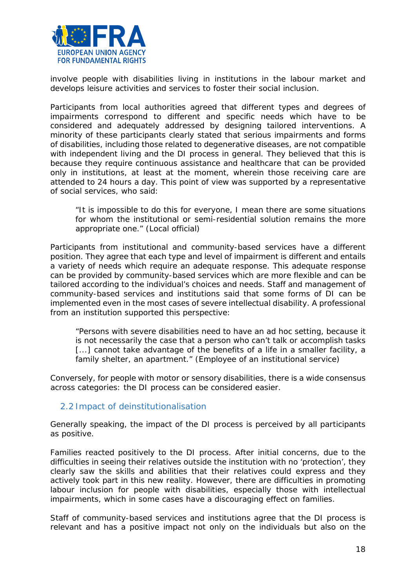

involve people with disabilities living in institutions in the labour market and develops leisure activities and services to foster their social inclusion.

Participants from local authorities agreed that different types and degrees of impairments correspond to different and specific needs which have to be considered and adequately addressed by designing tailored interventions. A minority of these participants clearly stated that serious impairments and forms of disabilities, including those related to degenerative diseases, are not compatible with independent living and the DI process in general. They believed that this is because they require continuous assistance and healthcare that can be provided only in institutions, at least at the moment, wherein those receiving care are attended to 24 hours a day. This point of view was supported by a representative of social services, who said:

*"It is impossible to do this for everyone, I mean there are some situations for whom the institutional or semi-residential solution remains the more appropriate one."* (Local official)

Participants from institutional and community-based services have a different position. They agree that each type and level of impairment is different and entails a variety of needs which require an adequate response. This adequate response can be provided by community-based services which are more flexible and can be tailored according to the individual's choices and needs. Staff and management of community-based services and institutions said that some forms of DI can be implemented even in the most cases of severe intellectual disability. A professional from an institution supported this perspective:

*"Persons with severe disabilities need to have an ad hoc setting, because it is not necessarily the case that a person who can't talk or accomplish tasks* [...] cannot take advantage of the benefits of a life in a smaller facility, a *family shelter, an apartment."* (Employee of an institutional service)

Conversely, for people with motor or sensory disabilities, there is a wide consensus across categories: the DI process can be considered easier.

#### <span id="page-17-0"></span>2.2 Impact of deinstitutionalisation

Generally speaking, the impact of the DI process is perceived by all participants as positive.

Families reacted positively to the DI process. After initial concerns, due to the difficulties in seeing their relatives outside the institution with no 'protection', they clearly saw the skills and abilities that their relatives could express and they actively took part in this new reality. However, there are difficulties in promoting labour inclusion for people with disabilities, especially those with intellectual impairments, which in some cases have a discouraging effect on families.

Staff of community-based services and institutions agree that the DI process is relevant and has a positive impact not only on the individuals but also on the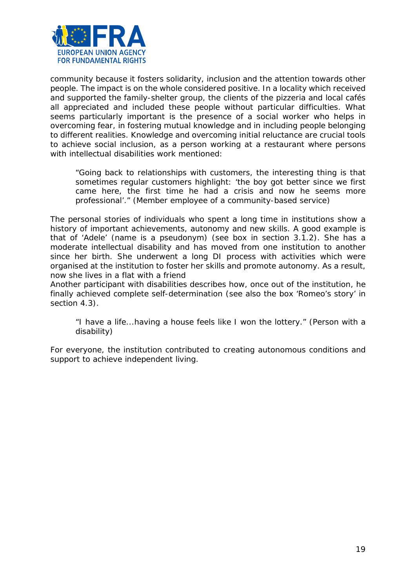

community because it fosters solidarity, inclusion and the attention towards other people. The impact is on the whole considered positive. In a locality which received and supported the family-shelter group, the clients of the pizzeria and local cafés all appreciated and included these people without particular difficulties. What seems particularly important is the presence of a social worker who helps in overcoming fear, in fostering mutual knowledge and in including people belonging to different realities. Knowledge and overcoming initial reluctance are crucial tools to achieve social inclusion, as a person working at a restaurant where persons with intellectual disabilities work mentioned:

*"Going back to relationships with customers, the interesting thing is that sometimes regular customers highlight: 'the boy got better since we first came here, the first time he had a crisis and now he seems more professional'."* (Member employee of a community-based service)

The personal stories of individuals who spent a long time in institutions show a history of important achievements, autonomy and new skills. A good example is that of 'Adele' (name is a pseudonym) (see box in section 3.1.2). She has a moderate intellectual disability and has moved from one institution to another since her birth. She underwent a long DI process with activities which were organised at the institution to foster her skills and promote autonomy. As a result, now she lives in a flat with a friend

Another participant with disabilities describes how, once out of the institution, he finally achieved complete self-determination (see also the box 'Romeo's story' in section 4.3).

*"I have a life...having a house feels like I won the lottery."* (Person with a disability)

For everyone, the institution contributed to creating autonomous conditions and support to achieve independent living.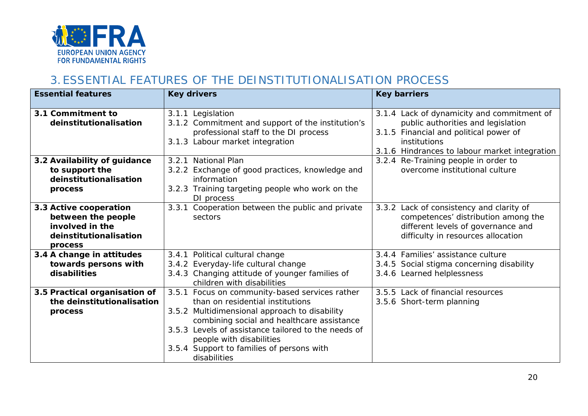

# 3.ESSENTIAL FEATURES OF THE DEINSTITUTIONALISATION PROCESS

<span id="page-19-0"></span>

| <b>Essential features</b>                                                                            | <b>Key drivers</b>                                                                                                                                                                                                                                                                                                                | <b>Key barriers</b>                                                                                                                                                                         |
|------------------------------------------------------------------------------------------------------|-----------------------------------------------------------------------------------------------------------------------------------------------------------------------------------------------------------------------------------------------------------------------------------------------------------------------------------|---------------------------------------------------------------------------------------------------------------------------------------------------------------------------------------------|
| 3.1 Commitment to<br>deinstitutionalisation                                                          | 3.1.1 Legislation<br>3.1.2 Commitment and support of the institution's<br>professional staff to the DI process<br>3.1.3 Labour market integration                                                                                                                                                                                 | 3.1.4 Lack of dynamicity and commitment of<br>public authorities and legislation<br>3.1.5 Financial and political power of<br>institutions<br>3.1.6 Hindrances to labour market integration |
| 3.2 Availability of guidance<br>to support the<br>deinstitutionalisation<br>process                  | 3.2.1 National Plan<br>3.2.2 Exchange of good practices, knowledge and<br>information<br>3.2.3 Training targeting people who work on the<br>DI process                                                                                                                                                                            | 3.2.4 Re-Training people in order to<br>overcome institutional culture                                                                                                                      |
| 3.3 Active cooperation<br>between the people<br>involved in the<br>deinstitutionalisation<br>process | 3.3.1 Cooperation between the public and private<br>sectors                                                                                                                                                                                                                                                                       | 3.3.2 Lack of consistency and clarity of<br>competences' distribution among the<br>different levels of governance and<br>difficulty in resources allocation                                 |
| 3.4 A change in attitudes<br>towards persons with<br>disabilities                                    | 3.4.1 Political cultural change<br>3.4.2 Everyday-life cultural change<br>3.4.3 Changing attitude of younger families of<br>children with disabilities                                                                                                                                                                            | 3.4.4 Families' assistance culture<br>3.4.5 Social stigma concerning disability<br>3.4.6 Learned helplessness                                                                               |
| 3.5 Practical organisation of<br>the deinstitutionalisation<br>process                               | 3.5.1 Focus on community-based services rather<br>than on residential institutions<br>3.5.2 Multidimensional approach to disability<br>combining social and healthcare assistance<br>3.5.3 Levels of assistance tailored to the needs of<br>people with disabilities<br>3.5.4 Support to families of persons with<br>disabilities | 3.5.5 Lack of financial resources<br>3.5.6 Short-term planning                                                                                                                              |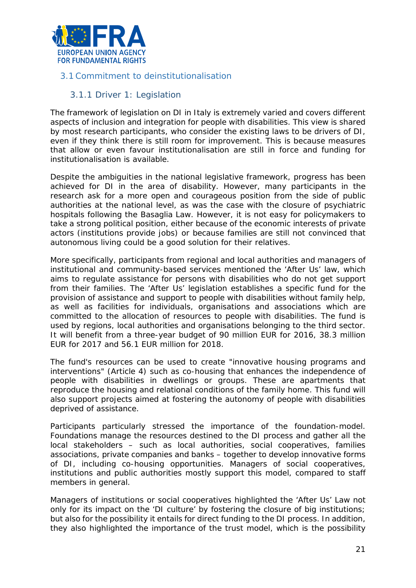

## <span id="page-20-0"></span>3.1 Commitment to deinstitutionalisation

#### 3.1.1 Driver 1: Legislation

The framework of legislation on DI in Italy is extremely varied and covers different aspects of inclusion and integration for people with disabilities. This view is shared by most research participants, who consider the existing laws to be drivers of DI, even if they think there is still room for improvement. This is because measures that allow or even favour institutionalisation are still in force and funding for institutionalisation is available.

Despite the ambiguities in the national legislative framework, progress has been achieved for DI in the area of disability. However, many participants in the research ask for a more open and courageous position from the side of public authorities at the national level, as was the case with the closure of psychiatric hospitals following the Basaglia Law. However, it is not easy for policymakers to take a strong political position, either because of the economic interests of private actors (institutions provide jobs) or because families are still not convinced that autonomous living could be a good solution for their relatives.

More specifically, participants from regional and local authorities and managers of institutional and community-based services mentioned the 'After Us' law, which aims to regulate assistance for persons with disabilities who do not get support from their families. The 'After Us' legislation establishes a specific fund for the provision of assistance and support to people with disabilities without family help, as well as facilities for individuals, organisations and associations which are committed to the allocation of resources to people with disabilities. The fund is used by regions, local authorities and organisations belonging to the third sector. It will benefit from a three-year budget of 90 million EUR for 2016, 38.3 million EUR for 2017 and 56.1 EUR million for 2018.

The fund's resources can be used to create "innovative housing programs and interventions" (Article 4) such as co-housing that enhances the independence of people with disabilities in dwellings or groups. These are apartments that reproduce the housing and relational conditions of the family home. This fund will also support projects aimed at fostering the autonomy of people with disabilities deprived of assistance.

Participants particularly stressed the importance of the foundation-model. Foundations manage the resources destined to the DI process and gather all the local stakeholders – such as local authorities, social cooperatives, families associations, private companies and banks – together to develop innovative forms of DI, including co-housing opportunities. Managers of social cooperatives, institutions and public authorities mostly support this model, compared to staff members in general.

Managers of institutions or social cooperatives highlighted the 'After Us' Law not only for its impact on the 'DI culture' by fostering the closure of big institutions; but also for the possibility it entails for direct funding to the DI process. In addition, they also highlighted the importance of the trust model, which is the possibility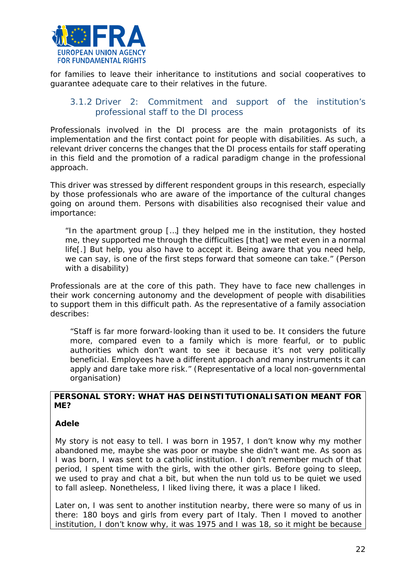

for families to leave their inheritance to institutions and social cooperatives to guarantee adequate care to their relatives in the future.

## 3.1.2 Driver 2: Commitment and support of the institution's professional staff to the DI process

Professionals involved in the DI process are the main protagonists of its implementation and the first contact point for people with disabilities. As such, a relevant driver concerns the changes that the DI process entails for staff operating in this field and the promotion of a radical paradigm change in the professional approach.

This driver was stressed by different respondent groups in this research, especially by those professionals who are aware of the importance of the cultural changes going on around them. Persons with disabilities also recognised their value and importance:

*"In the apartment group […] they helped me in the institution, they hosted me, they supported me through the difficulties [that] we met even in a normal life[.] But help, you also have to accept it. Being aware that you need help, we can say, is one of the first steps forward that someone can take."* (Person with a disability)

Professionals are at the core of this path. They have to face new challenges in their work concerning autonomy and the development of people with disabilities to support them in this difficult path. As the representative of a family association describes:

*"Staff is far more forward-looking than it used to be. It considers the future more, compared even to a family which is more fearful, or to public authorities which don't want to see it because it's not very politically beneficial. Employees have a different approach and many instruments it can apply and dare take more risk."* (Representative of a local non-governmental organisation)

#### **PERSONAL STORY: WHAT HAS DEINSTITUTIONALISATION MEANT FOR ME?**

#### **Adele**

My story is not easy to tell. I was born in 1957, I don't know why my mother abandoned me, maybe she was poor or maybe she didn't want me. As soon as I was born, I was sent to a catholic institution. I don't remember much of that period, I spent time with the girls, with the other girls. Before going to sleep, we used to pray and chat a bit, but when the nun told us to be quiet we used to fall asleep. Nonetheless, I liked living there, it was a place I liked.

Later on, I was sent to another institution nearby, there were so many of us in there: 180 boys and girls from every part of Italy. Then I moved to another institution, I don't know why, it was 1975 and I was 18, so it might be because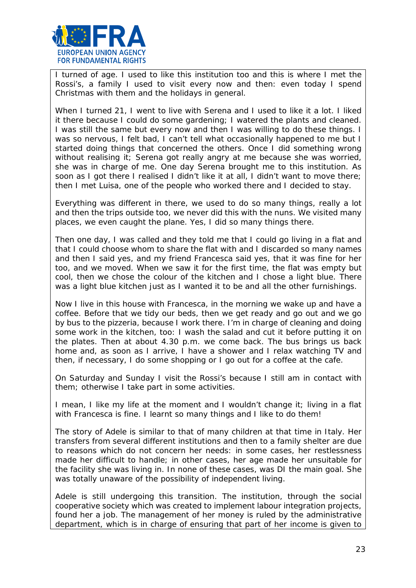

I turned of age. I used to like this institution too and this is where I met the Rossi's, a family I used to visit every now and then: even today I spend Christmas with them and the holidays in general.

When I turned 21, I went to live with Serena and I used to like it a lot. I liked it there because I could do some gardening; I watered the plants and cleaned. I was still the same but every now and then I was willing to do these things. I was so nervous, I felt bad, I can't tell what occasionally happened to me but I started doing things that concerned the others. Once I did something wrong without realising it; Serena got really angry at me because she was worried, she was in charge of me. One day Serena brought me to this institution. As soon as I got there I realised I didn't like it at all, I didn't want to move there; then I met Luisa, one of the people who worked there and I decided to stay.

Everything was different in there, we used to do so many things, really a lot and then the trips outside too, we never did this with the nuns. We visited many places, we even caught the plane. Yes, I did so many things there.

Then one day, I was called and they told me that I could go living in a flat and that I could choose whom to share the flat with and I discarded so many names and then I said yes, and my friend Francesca said yes, that it was fine for her too, and we moved. When we saw it for the first time, the flat was empty but cool, then we chose the colour of the kitchen and I chose a light blue. There was a light blue kitchen just as I wanted it to be and all the other furnishings.

Now I live in this house with Francesca, in the morning we wake up and have a coffee. Before that we tidy our beds, then we get ready and go out and we go by bus to the pizzeria, because I work there. I'm in charge of cleaning and doing some work in the kitchen, too: I wash the salad and cut it before putting it on the plates. Then at about 4.30 p.m. we come back. The bus brings us back home and, as soon as I arrive, I have a shower and I relax watching TV and then, if necessary, I do some shopping or I go out for a coffee at the cafe.

On Saturday and Sunday I visit the Rossi's because I still am in contact with them; otherwise I take part in some activities.

I mean, I like my life at the moment and I wouldn't change it; living in a flat with Francesca is fine. I learnt so many things and I like to do them!

The story of Adele is similar to that of many children at that time in Italy. Her transfers from several different institutions and then to a family shelter are due to reasons which do not concern her needs: in some cases, her restlessness made her difficult to handle; in other cases, her age made her unsuitable for the facility she was living in. In none of these cases, was DI the main goal. She was totally unaware of the possibility of independent living.

Adele is still undergoing this transition. The institution, through the social cooperative society which was created to implement labour integration projects, found her a job. The management of her money is ruled by the administrative department, which is in charge of ensuring that part of her income is given to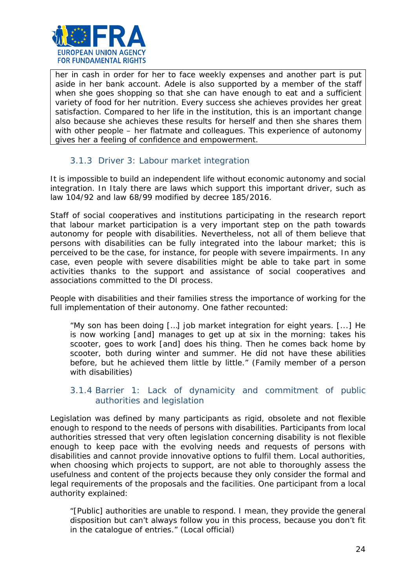

her in cash in order for her to face weekly expenses and another part is put aside in her bank account. Adele is also supported by a member of the staff when she goes shopping so that she can have enough to eat and a sufficient variety of food for her nutrition. Every success she achieves provides her great satisfaction. Compared to her life in the institution, this is an important change also because she achieves these results for herself and then she shares them with other people – her flatmate and colleagues. This experience of autonomy gives her a feeling of confidence and empowerment.

# 3.1.3 Driver 3: Labour market integration

It is impossible to build an independent life without economic autonomy and social integration. In Italy there are laws which support this important driver, such as law 104/92 and law 68/99 modified by decree 185/2016.

Staff of social cooperatives and institutions participating in the research report that labour market participation is a very important step on the path towards autonomy for people with disabilities. Nevertheless, not all of them believe that persons with disabilities can be fully integrated into the labour market; this is perceived to be the case, for instance, for people with severe impairments. In any case, even people with severe disabilities might be able to take part in some activities thanks to the support and assistance of social cooperatives and associations committed to the DI process.

People with disabilities and their families stress the importance of working for the full implementation of their autonomy. One father recounted:

*"My son has been doing […] job market integration for eight years. [...] He is now working [and] manages to get up at six in the morning: takes his scooter, goes to work [and] does his thing. Then he comes back home by scooter, both during winter and summer. He did not have these abilities before, but he achieved them little by little."* (Family member of a person with disabilities)

#### 3.1.4 Barrier 1: Lack of dynamicity and commitment of public authorities and legislation

Legislation was defined by many participants as rigid, obsolete and not flexible enough to respond to the needs of persons with disabilities. Participants from local authorities stressed that very often legislation concerning disability is not flexible enough to keep pace with the evolving needs and requests of persons with disabilities and cannot provide innovative options to fulfil them. Local authorities, when choosing which projects to support, are not able to thoroughly assess the usefulness and content of the projects because they only consider the formal and legal requirements of the proposals and the facilities. One participant from a local authority explained:

*"[Public] authorities are unable to respond. I mean, they provide the general disposition but can't always follow you in this process, because you don't fit in the catalogue of entries."* (Local official)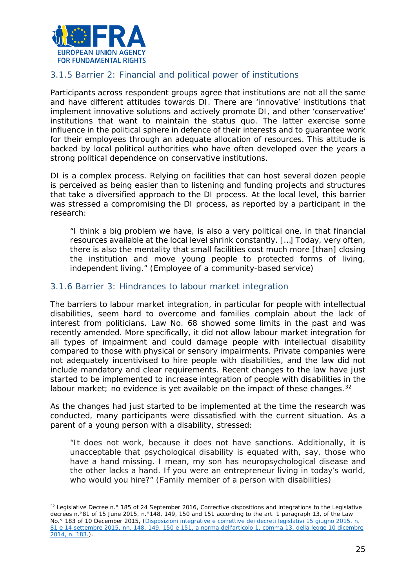

l

## 3.1.5 Barrier 2: Financial and political power of institutions

Participants across respondent groups agree that institutions are not all the same and have different attitudes towards DI. There are 'innovative' institutions that implement innovative solutions and actively promote DI, and other 'conservative' institutions that want to maintain the status quo. The latter exercise some influence in the political sphere in defence of their interests and to guarantee work for their employees through an adequate allocation of resources. This attitude is backed by local political authorities who have often developed over the years a strong political dependence on conservative institutions.

DI is a complex process. Relying on facilities that can host several dozen people is perceived as being easier than to listening and funding projects and structures that take a diversified approach to the DI process. At the local level, this barrier was stressed a compromising the DI process, as reported by a participant in the research:

*"I think a big problem we have, is also a very political one, in that financial resources available at the local level shrink constantly. […] Today, very often, there is also the mentality that small facilities cost much more [than] closing the institution and move young people to protected forms of living, independent living."* (Employee of a community-based service*)*

#### 3.1.6 Barrier 3: Hindrances to labour market integration

The barriers to labour market integration, in particular for people with intellectual disabilities, seem hard to overcome and families complain about the lack of interest from politicians. Law No. 68 showed some limits in the past and was recently amended. More specifically, it did not allow labour market integration for all types of impairment and could damage people with intellectual disability compared to those with physical or sensory impairments. Private companies were not adequately incentivised to hire people with disabilities, and the law did not include mandatory and clear requirements. Recent changes to the law have just started to be implemented to increase integration of people with disabilities in the labour market; no evidence is yet available on the impact of these changes.  $32$ 

As the changes had just started to be implemented at the time the research was conducted, many participants were dissatisfied with the current situation. As a parent of a young person with a disability, stressed:

*"It does not work, because it does not have sanctions. Additionally, it is unacceptable that psychological disability is equated with, say, those who have a hand missing. I mean, my son has neuropsychological disease and the other lacks a hand. If you were an entrepreneur living in today's world, who would you hire?"* (Family member of a person with disabilities)

<span id="page-24-0"></span><sup>&</sup>lt;sup>32</sup> Legislative Decree n.º 185 of 24 September 2016, Corrective dispositions and integrations to the Legislative decrees n.°81 of 15 June 2015, n.°148, 149, 150 and 151 according to the art. 1 paragraph 13, of the Law No.° 183 of 10 December 2015, (*[Disposizioni integrative e correttive dei decreti legislativi 15 giugno 2015, n.](http://www.gazzettaufficiale.it/eli/id/2016/10/07/16G00198/sg)  [81 e 14 settembre 2015, nn. 148, 149, 150 e 151, a norma dell'articolo 1, comma 13, della legge 10 dicembre](http://www.gazzettaufficiale.it/eli/id/2016/10/07/16G00198/sg)  [2014, n. 183.\)](http://www.gazzettaufficiale.it/eli/id/2016/10/07/16G00198/sg)*.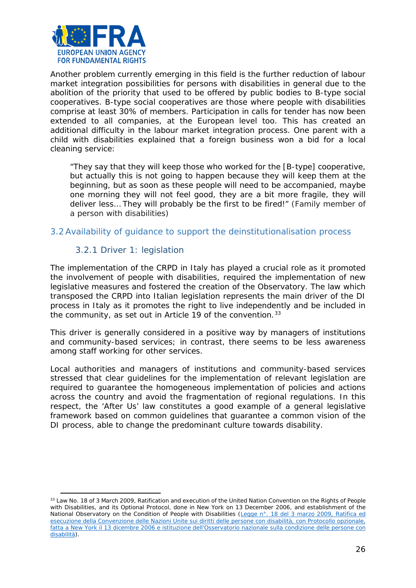

Another problem currently emerging in this field is the further reduction of labour market integration possibilities for persons with disabilities in general due to the abolition of the priority that used to be offered by public bodies to B-type social cooperatives. B-type social cooperatives are those where people with disabilities comprise at least 30% of members. Participation in calls for tender has now been extended to all companies, at the European level too. This has created an additional difficulty in the labour market integration process. One parent with a child with disabilities explained that a foreign business won a bid for a local cleaning service:

*"They say that they will keep those who worked for the [B-type] cooperative, but actually this is not going to happen because they will keep them at the beginning, but as soon as these people will need to be accompanied, maybe one morning they will not feel good, they are a bit more fragile, they will deliver less… They will probably be the first to be fired!"* (Family member of a person with disabilities)

#### <span id="page-25-0"></span>3.2 Availability of guidance to support the deinstitutionalisation process

#### 3.2.1 Driver 1: legislation

l

The implementation of the CRPD in Italy has played a crucial role as it promoted the involvement of people with disabilities, required the implementation of new legislative measures and fostered the creation of the Observatory. The law which transposed the CRPD into Italian legislation represents the main driver of the DI process in Italy as it promotes the right to live independently and be included in the community, as set out in Article 19 of the convention.  $33$ 

This driver is generally considered in a positive way by managers of institutions and community-based services; in contrast, there seems to be less awareness among staff working for other services.

Local authorities and managers of institutions and community-based services stressed that clear guidelines for the implementation of relevant legislation are required to guarantee the homogeneous implementation of policies and actions across the country and avoid the fragmentation of regional regulations. In this respect, the 'After Us' law constitutes a good example of a general legislative framework based on common guidelines that guarantee a common vision of the DI process, able to change the predominant culture towards disability.

<span id="page-25-1"></span><sup>33</sup> Law No. 18 of 3 March 2009, Ratification and execution of the United Nation Convention on the Rights of People with Disabilities, and its Optional Protocol, done in New York on 13 December 2006, and establishment of the National Observatory on the Condition of People with Disabilities (*[Legge n°. 18 del 3 marzo 2009, Ratifica ed](http://www.gazzettaufficiale.it/eli/id/2009/03/14/009G0027/sg)  [esecuzione della Convenzione delle Nazioni Unite sui diritti delle persone con disabilità, con Protocollo opzionale,](http://www.gazzettaufficiale.it/eli/id/2009/03/14/009G0027/sg)  [fatta a New York il 13 dicembre 2006 e istituzione dell'Osservatorio nazionale sulla condizione delle persone con](http://www.gazzettaufficiale.it/eli/id/2009/03/14/009G0027/sg)  [disabilità](http://www.gazzettaufficiale.it/eli/id/2009/03/14/009G0027/sg)*).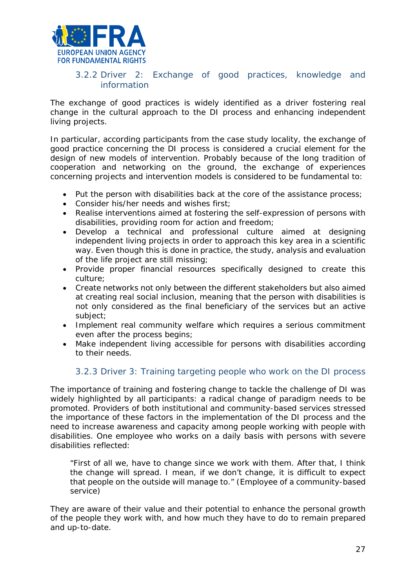

# 3.2.2 Driver 2: Exchange of good practices, knowledge and information

The exchange of good practices is widely identified as a driver fostering real change in the cultural approach to the DI process and enhancing independent living projects.

In particular, according participants from the case study locality, the exchange of good practice concerning the DI process is considered a crucial element for the design of new models of intervention. Probably because of the long tradition of cooperation and networking on the ground, the exchange of experiences concerning projects and intervention models is considered to be fundamental to:

- Put the person with disabilities back at the core of the assistance process;
- Consider his/her needs and wishes first;
- Realise interventions aimed at fostering the self-expression of persons with disabilities, providing room for action and freedom;
- Develop a technical and professional culture aimed at designing independent living projects in order to approach this key area in a scientific way. Even though this is done in practice, the study, analysis and evaluation of the life project are still missing;
- Provide proper financial resources specifically designed to create this culture;
- Create networks not only between the different stakeholders but also aimed at creating real social inclusion, meaning that the person with disabilities is not only considered as the final beneficiary of the services but an active subject;
- Implement real community welfare which requires a serious commitment even after the process begins;
- Make independent living accessible for persons with disabilities according to their needs.

# 3.2.3 Driver 3: Training targeting people who work on the DI process

The importance of training and fostering change to tackle the challenge of DI was widely highlighted by all participants: a radical change of paradigm needs to be promoted. Providers of both institutional and community-based services stressed the importance of these factors in the implementation of the DI process and the need to increase awareness and capacity among people working with people with disabilities. One employee who works on a daily basis with persons with severe disabilities reflected:

*"First of all we, have to change since we work with them. After that, I think the change will spread. I mean, if we don't change, it is difficult to expect that people on the outside will manage to."* (Employee of a community-based service)

They are aware of their value and their potential to enhance the personal growth of the people they work with, and how much they have to do to remain prepared and up-to-date.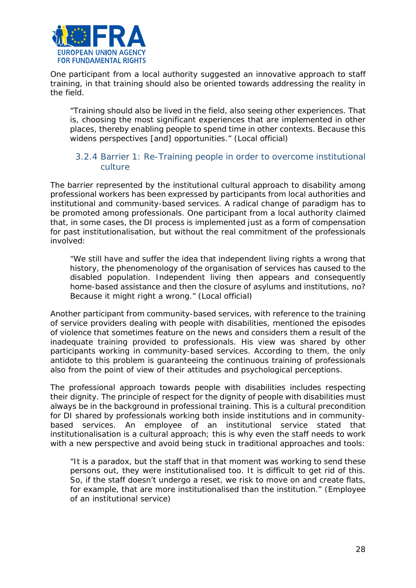

One participant from a local authority suggested an innovative approach to staff training, in that training should also be oriented towards addressing the reality in the field.

*"Training should also be lived in the field, also seeing other experiences. That is, choosing the most significant experiences that are implemented in other places, thereby enabling people to spend time in other contexts. Because this widens perspectives [and] opportunities."* (Local official)

#### 3.2.4 Barrier 1: Re-Training people in order to overcome institutional culture

The barrier represented by the institutional cultural approach to disability among professional workers has been expressed by participants from local authorities and institutional and community-based services. A radical change of paradigm has to be promoted among professionals. One participant from a local authority claimed that, in some cases, the DI process is implemented just as a form of compensation for past institutionalisation, but without the real commitment of the professionals involved:

*"We still have and suffer the idea that independent living rights a wrong that history, the phenomenology of the organisation of services has caused to the disabled population. Independent living then appears and consequently home-based assistance and then the closure of asylums and institutions, no? Because it might right a wrong."* (Local official)

Another participant from community-based services, with reference to the training of service providers dealing with people with disabilities, mentioned the episodes of violence that sometimes feature on the news and considers them a result of the inadequate training provided to professionals. His view was shared by other participants working in community-based services. According to them, the only antidote to this problem is guaranteeing the continuous training of professionals also from the point of view of their attitudes and psychological perceptions.

The professional approach towards people with disabilities includes respecting their dignity. The principle of respect for the dignity of people with disabilities must always be in the background in professional training. This is a cultural precondition for DI shared by professionals working both inside institutions and in communitybased services. An employee of an institutional service stated that institutionalisation is a cultural approach; this is why even the staff needs to work with a new perspective and avoid being stuck in traditional approaches and tools:

*"It is a paradox, but the staff that in that moment was working to send these persons out, they were institutionalised too. It is difficult to get rid of this. So, if the staff doesn't undergo a reset, we risk to move on and create flats, for example, that are more institutionalised than the institution."* (Employee of an institutional service)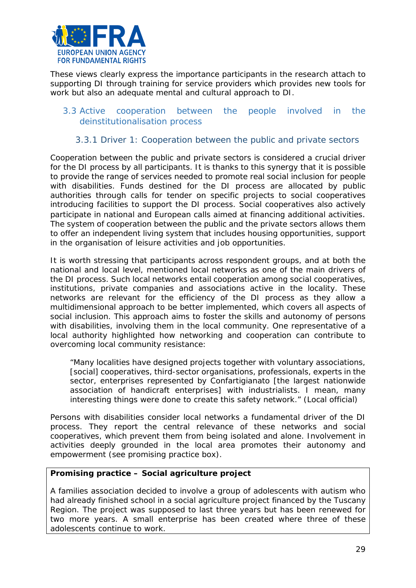

These views clearly express the importance participants in the research attach to supporting DI through training for service providers which provides new tools for work but also an adequate mental and cultural approach to DI.

#### <span id="page-28-0"></span>3.3 Active cooperation between the people involved in the deinstitutionalisation process

#### 3.3.1 Driver 1: Cooperation between the public and private sectors

Cooperation between the public and private sectors is considered a crucial driver for the DI process by all participants. It is thanks to this synergy that it is possible to provide the range of services needed to promote real social inclusion for people with disabilities. Funds destined for the DI process are allocated by public authorities through calls for tender on specific projects to social cooperatives introducing facilities to support the DI process. Social cooperatives also actively participate in national and European calls aimed at financing additional activities. The system of cooperation between the public and the private sectors allows them to offer an independent living system that includes housing opportunities, support in the organisation of leisure activities and job opportunities.

It is worth stressing that participants across respondent groups, and at both the national and local level, mentioned local networks as one of the main drivers of the DI process. Such local networks entail cooperation among social cooperatives, institutions, private companies and associations active in the locality. These networks are relevant for the efficiency of the DI process as they allow a multidimensional approach to be better implemented, which covers all aspects of social inclusion. This approach aims to foster the skills and autonomy of persons with disabilities, involving them in the local community. One representative of a local authority highlighted how networking and cooperation can contribute to overcoming local community resistance:

*"Many localities have designed projects together with voluntary associations, [social] cooperatives, third-sector organisations, professionals, experts in the sector, enterprises represented by* Confartigianato [the largest nationwide association of handicraft enterprises] *with industrialists. I mean, many interesting things were done to create this safety network."* (Local official)

Persons with disabilities consider local networks a fundamental driver of the DI process. They report the central relevance of these networks and social cooperatives, which prevent them from being isolated and alone. Involvement in activities deeply grounded in the local area promotes their autonomy and empowerment (see promising practice box).

#### **Promising practice – Social agriculture project**

A families association decided to involve a group of adolescents with autism who had already finished school in a social agriculture project financed by the Tuscany Region. The project was supposed to last three years but has been renewed for two more years. A small enterprise has been created where three of these adolescents continue to work.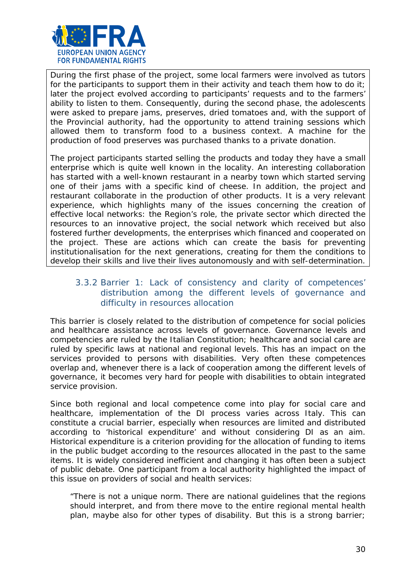

During the first phase of the project, some local farmers were involved as tutors for the participants to support them in their activity and teach them how to do it; later the project evolved according to participants' requests and to the farmers' ability to listen to them. Consequently, during the second phase, the adolescents were asked to prepare jams, preserves, dried tomatoes and, with the support of the Provincial authority, had the opportunity to attend training sessions which allowed them to transform food to a business context. A machine for the production of food preserves was purchased thanks to a private donation.

The project participants started selling the products and today they have a small enterprise which is quite well known in the locality. An interesting collaboration has started with a well-known restaurant in a nearby town which started serving one of their jams with a specific kind of cheese. In addition, the project and restaurant collaborate in the production of other products. It is a very relevant experience, which highlights many of the issues concerning the creation of effective local networks: the Region's role, the private sector which directed the resources to an innovative project, the social network which received but also fostered further developments, the enterprises which financed and cooperated on the project. These are actions which can create the basis for preventing institutionalisation for the next generations, creating for them the conditions to develop their skills and live their lives autonomously and with self-determination.

#### 3.3.2 Barrier 1: Lack of consistency and clarity of competences' distribution among the different levels of governance and difficulty in resources allocation

This barrier is closely related to the distribution of competence for social policies and healthcare assistance across levels of governance. Governance levels and competencies are ruled by the Italian Constitution; healthcare and social care are ruled by specific laws at national and regional levels. This has an impact on the services provided to persons with disabilities. Very often these competences overlap and, whenever there is a lack of cooperation among the different levels of governance, it becomes very hard for people with disabilities to obtain integrated service provision.

Since both regional and local competence come into play for social care and healthcare, implementation of the DI process varies across Italy. This can constitute a crucial barrier, especially when resources are limited and distributed according to 'historical expenditure' and without considering DI as an aim. Historical expenditure is a criterion providing for the allocation of funding to items in the public budget according to the resources allocated in the past to the same items. It is widely considered inefficient and changing it has often been a subject of public debate. One participant from a local authority highlighted the impact of this issue on providers of social and health services:

*"There is not a unique norm. There are national guidelines that the regions should interpret, and from there move to the entire regional mental health plan, maybe also for other types of disability. But this is a strong barrier;*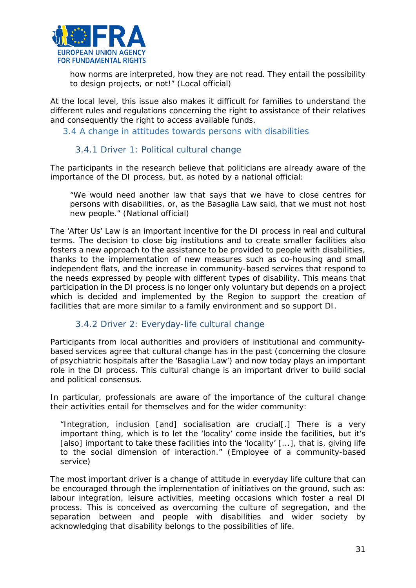

*how norms are interpreted, how they are not read. They entail the possibility to design projects, or not!"* (Local official)

At the local level, this issue also makes it difficult for families to understand the different rules and regulations concerning the right to assistance of their relatives and consequently the right to access available funds.

<span id="page-30-0"></span>3.4 A change in attitudes towards persons with disabilities

#### 3.4.1 Driver 1: Political cultural change

The participants in the research believe that politicians are already aware of the importance of the DI process, but, as noted by a national official:

*"We would need another law that says that we have to close centres for persons with disabilities, or, as the Basaglia Law said, that we must not host new people."* (National official)

The 'After Us' Law is an important incentive for the DI process in real and cultural terms. The decision to close big institutions and to create smaller facilities also fosters a new approach to the assistance to be provided to people with disabilities, thanks to the implementation of new measures such as co-housing and small independent flats, and the increase in community-based services that respond to the needs expressed by people with different types of disability. This means that participation in the DI process is no longer only voluntary but depends on a project which is decided and implemented by the Region to support the creation of facilities that are more similar to a family environment and so support DI.

#### 3.4.2 Driver 2: Everyday-life cultural change

Participants from local authorities and providers of institutional and communitybased services agree that cultural change has in the past (concerning the closure of psychiatric hospitals after the 'Basaglia Law') and now today plays an important role in the DI process. This cultural change is an important driver to build social and political consensus.

In particular, professionals are aware of the importance of the cultural change their activities entail for themselves and for the wider community:

*"Integration, inclusion [and] socialisation are crucial[.] There is a very important thing, which is to let the 'locality' come inside the facilities, but it's [also] important to take these facilities into the 'locality' [...], that is, giving life to the social dimension of interaction."* (Employee of a community-based service)

The most important driver is a change of attitude in everyday life culture that can be encouraged through the implementation of initiatives on the ground, such as: labour integration, leisure activities, meeting occasions which foster a real DI process. This is conceived as overcoming the culture of segregation, and the separation between and people with disabilities and wider society by acknowledging that disability belongs to the possibilities of life.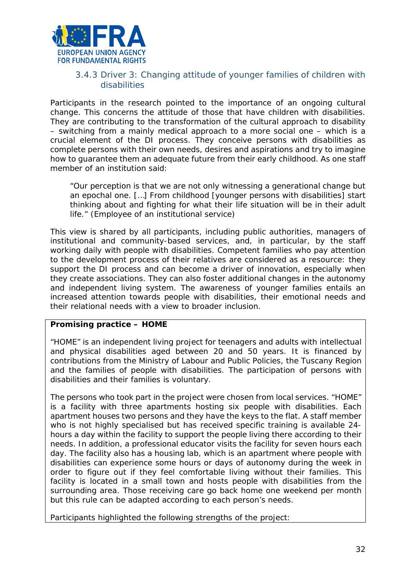

#### 3.4.3 Driver 3: Changing attitude of younger families of children with disabilities

Participants in the research pointed to the importance of an ongoing cultural change. This concerns the attitude of those that have children with disabilities. They are contributing to the transformation of the cultural approach to disability – switching from a mainly medical approach to a more social one – which is a crucial element of the DI process. They conceive persons with disabilities as complete persons with their own needs, desires and aspirations and try to imagine how to guarantee them an adequate future from their early childhood. As one staff member of an institution said:

*"Our perception is that we are not only witnessing a generational change but an epochal one. […] From childhood [younger persons with disabilities] start thinking about and fighting for what their life situation will be in their adult life."* (Employee of an institutional service)

This view is shared by all participants, including public authorities, managers of institutional and community-based services, and, in particular, by the staff working daily with people with disabilities. Competent families who pay attention to the development process of their relatives are considered as a resource: they support the DI process and can become a driver of innovation, especially when they create associations. They can also foster additional changes in the autonomy and independent living system. The awareness of younger families entails an increased attention towards people with disabilities, their emotional needs and their relational needs with a view to broader inclusion.

#### **Promising practice – HOME**

"HOME" is an independent living project for teenagers and adults with intellectual and physical disabilities aged between 20 and 50 years. It is financed by contributions from the Ministry of Labour and Public Policies, the Tuscany Region and the families of people with disabilities. The participation of persons with disabilities and their families is voluntary.

The persons who took part in the project were chosen from local services. "HOME" is a facility with three apartments hosting six people with disabilities. Each apartment houses two persons and they have the keys to the flat. A staff member who is not highly specialised but has received specific training is available 24hours a day within the facility to support the people living there according to their needs. In addition, a professional educator visits the facility for seven hours each day. The facility also has a housing lab, which is an apartment where people with disabilities can experience some hours or days of autonomy during the week in order to figure out if they feel comfortable living without their families. This facility is located in a small town and hosts people with disabilities from the surrounding area. Those receiving care go back home one weekend per month but this rule can be adapted according to each person's needs.

Participants highlighted the following strengths of the project: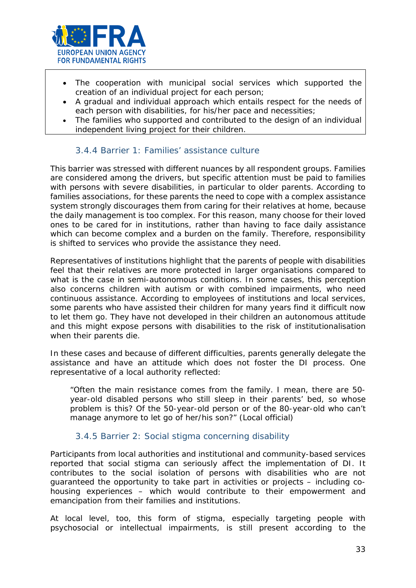

- The cooperation with municipal social services which supported the creation of an individual project for each person;
- A gradual and individual approach which entails respect for the needs of each person with disabilities, for his/her pace and necessities;
- The families who supported and contributed to the design of an individual independent living project for their children.

# 3.4.4 Barrier 1: Families' assistance culture

This barrier was stressed with different nuances by all respondent groups. Families are considered among the drivers, but specific attention must be paid to families with persons with severe disabilities, in particular to older parents. According to families associations, for these parents the need to cope with a complex assistance system strongly discourages them from caring for their relatives at home, because the daily management is too complex. For this reason, many choose for their loved ones to be cared for in institutions, rather than having to face daily assistance which can become complex and a burden on the family. Therefore, responsibility is shifted to services who provide the assistance they need.

Representatives of institutions highlight that the parents of people with disabilities feel that their relatives are more protected in larger organisations compared to what is the case in semi-autonomous conditions. In some cases, this perception also concerns children with autism or with combined impairments, who need continuous assistance. According to employees of institutions and local services, some parents who have assisted their children for many years find it difficult now to let them go. They have not developed in their children an autonomous attitude and this might expose persons with disabilities to the risk of institutionalisation when their parents die.

In these cases and because of different difficulties, parents generally delegate the assistance and have an attitude which does not foster the DI process. One representative of a local authority reflected:

*"Often the main resistance comes from the family. I mean, there are 50 year-old disabled persons who still sleep in their parents' bed, so whose problem is this? Of the 50-year-old person or of the 80-year-old who can't manage anymore to let go of her/his son?"* (Local official)

#### 3.4.5 Barrier 2: Social stigma concerning disability

Participants from local authorities and institutional and community-based services reported that social stigma can seriously affect the implementation of DI. It contributes to the social isolation of persons with disabilities who are not guaranteed the opportunity to take part in activities or projects – including cohousing experiences – which would contribute to their empowerment and emancipation from their families and institutions.

At local level, too, this form of stigma, especially targeting people with psychosocial or intellectual impairments, is still present according to the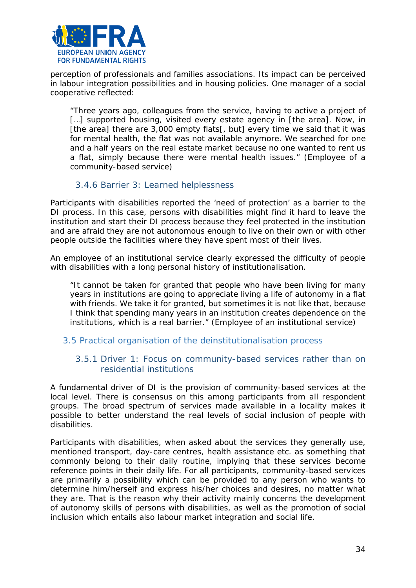

perception of professionals and families associations. Its impact can be perceived in labour integration possibilities and in housing policies. One manager of a social cooperative reflected:

*"Three years ago, colleagues from the service, having to active a project of […] supported housing, visited every estate agency in [the area]. Now, in [the area] there are 3,000 empty flats[, but] every time we said that it was for mental health, the flat was not available anymore. We searched for one and a half years on the real estate market because no one wanted to rent us a flat, simply because there were mental health issues."* (Employee of a community-based service)

#### 3.4.6 Barrier 3: Learned helplessness

Participants with disabilities reported the 'need of protection' as a barrier to the DI process. In this case, persons with disabilities might find it hard to leave the institution and start their DI process because they feel protected in the institution and are afraid they are not autonomous enough to live on their own or with other people outside the facilities where they have spent most of their lives.

An employee of an institutional service clearly expressed the difficulty of people with disabilities with a long personal history of institutionalisation.

*"It cannot be taken for granted that people who have been living for many years in institutions are going to appreciate living a life of autonomy in a flat with friends. We take it for granted, but sometimes it is not like that, because I think that spending many years in an institution creates dependence on the institutions, which is a real barrier."* (Employee of an institutional service)

#### <span id="page-33-0"></span>3.5 Practical organisation of the deinstitutionalisation process

#### 3.5.1 Driver 1: Focus on community-based services rather than on residential institutions

A fundamental driver of DI is the provision of community-based services at the local level. There is consensus on this among participants from all respondent groups. The broad spectrum of services made available in a locality makes it possible to better understand the real levels of social inclusion of people with disabilities.

Participants with disabilities, when asked about the services they generally use, mentioned transport, day-care centres, health assistance etc. as something that commonly belong to their daily routine, implying that these services become reference points in their daily life. For all participants, community-based services are primarily a possibility which can be provided to any person who wants to determine him/herself and express his/her choices and desires, no matter what they are. That is the reason why their activity mainly concerns the development of autonomy skills of persons with disabilities, as well as the promotion of social inclusion which entails also labour market integration and social life.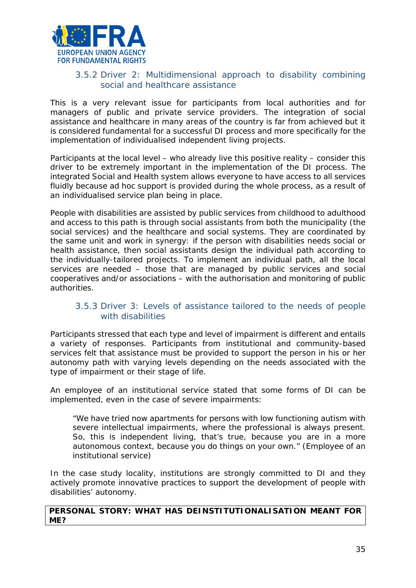

## 3.5.2 Driver 2: Multidimensional approach to disability combining social and healthcare assistance

This is a very relevant issue for participants from local authorities and for managers of public and private service providers. The integration of social assistance and healthcare in many areas of the country is far from achieved but it is considered fundamental for a successful DI process and more specifically for the implementation of individualised independent living projects.

Participants at the local level – who already live this positive reality – consider this driver to be extremely important in the implementation of the DI process. The integrated Social and Health system allows everyone to have access to all services fluidly because ad hoc support is provided during the whole process, as a result of an individualised service plan being in place.

People with disabilities are assisted by public services from childhood to adulthood and access to this path is through social assistants from both the municipality (the social services) and the healthcare and social systems. They are coordinated by the same unit and work in synergy: if the person with disabilities needs social or health assistance, then social assistants design the individual path according to the individually-tailored projects. To implement an individual path, all the local services are needed – those that are managed by public services and social cooperatives and/or associations – with the authorisation and monitoring of public authorities.

#### 3.5.3 Driver 3: Levels of assistance tailored to the needs of people with disabilities

Participants stressed that each type and level of impairment is different and entails a variety of responses. Participants from institutional and community-based services felt that assistance must be provided to support the person in his or her autonomy path with varying levels depending on the needs associated with the type of impairment or their stage of life.

An employee of an institutional service stated that some forms of DI can be implemented, even in the case of severe impairments:

*"We have tried now apartments for persons with low functioning autism with severe intellectual impairments, where the professional is always present. So, this is independent living, that's true, because you are in a more autonomous context, because you do things on your own."* (Employee of an institutional service)

In the case study locality, institutions are strongly committed to DI and they actively promote innovative practices to support the development of people with disabilities' autonomy.

#### **PERSONAL STORY: WHAT HAS DEINSTITUTIONALISATION MEANT FOR ME?**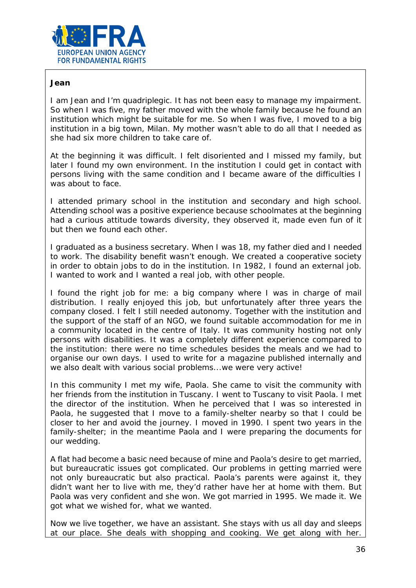

#### **Jean**

I am Jean and I'm quadriplegic. It has not been easy to manage my impairment. So when I was five, my father moved with the whole family because he found an institution which might be suitable for me. So when I was five, I moved to a big institution in a big town, Milan. My mother wasn't able to do all that I needed as she had six more children to take care of.

At the beginning it was difficult. I felt disoriented and I missed my family, but later I found my own environment. In the institution I could get in contact with persons living with the same condition and I became aware of the difficulties I was about to face.

I attended primary school in the institution and secondary and high school. Attending school was a positive experience because schoolmates at the beginning had a curious attitude towards diversity, they observed it, made even fun of it but then we found each other.

I graduated as a business secretary. When I was 18, my father died and I needed to work. The disability benefit wasn't enough. We created a cooperative society in order to obtain jobs to do in the institution. In 1982, I found an external job. I wanted to work and I wanted a real job, with other people.

I found the right job for me: a big company where I was in charge of mail distribution. I really enjoyed this job, but unfortunately after three years the company closed. I felt I still needed autonomy. Together with the institution and the support of the staff of an NGO, we found suitable accommodation for me in a community located in the centre of Italy. It was community hosting not only persons with disabilities. It was a completely different experience compared to the institution: there were no time schedules besides the meals and we had to organise our own days. I used to write for a magazine published internally and we also dealt with various social problems...we were very active!

In this community I met my wife, Paola. She came to visit the community with her friends from the institution in Tuscany. I went to Tuscany to visit Paola. I met the director of the institution. When he perceived that I was so interested in Paola, he suggested that I move to a family-shelter nearby so that I could be closer to her and avoid the journey. I moved in 1990. I spent two years in the family-shelter; in the meantime Paola and I were preparing the documents for our wedding.

A flat had become a basic need because of mine and Paola's desire to get married, but bureaucratic issues got complicated. Our problems in getting married were not only bureaucratic but also practical. Paola's parents were against it, they didn't want her to live with me, they'd rather have her at home with them. But Paola was very confident and she won. We got married in 1995. We made it. We got what we wished for, what we wanted.

Now we live together, we have an assistant. She stays with us all day and sleeps at our place. She deals with shopping and cooking. We get along with her.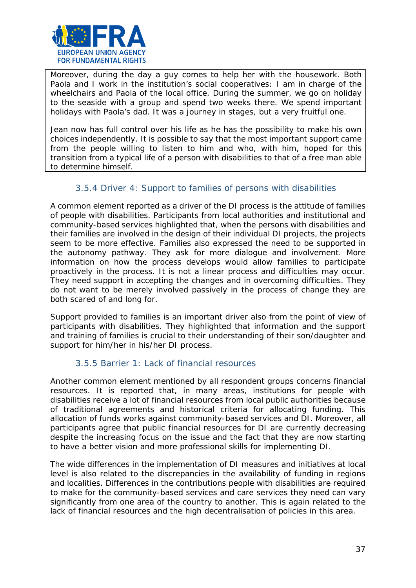

Moreover, during the day a guy comes to help her with the housework. Both Paola and I work in the institution's social cooperatives: I am in charge of the wheelchairs and Paola of the local office. During the summer, we go on holiday to the seaside with a group and spend two weeks there. We spend important holidays with Paola's dad. It was a journey in stages, but a very fruitful one.

Jean now has full control over his life as he has the possibility to make his own choices independently. It is possible to say that the most important support came from the people willing to listen to him and who, with him, hoped for this transition from a typical life of a person with disabilities to that of a free man able to determine himself.

# 3.5.4 Driver 4: Support to families of persons with disabilities

A common element reported as a driver of the DI process is the attitude of families of people with disabilities. Participants from local authorities and institutional and community-based services highlighted that, when the persons with disabilities and their families are involved in the design of their individual DI projects, the projects seem to be more effective. Families also expressed the need to be supported in the autonomy pathway. They ask for more dialogue and involvement. More information on how the process develops would allow families to participate proactively in the process. It is not a linear process and difficulties may occur. They need support in accepting the changes and in overcoming difficulties. They do not want to be merely involved passively in the process of change they are both scared of and long for.

Support provided to families is an important driver also from the point of view of participants with disabilities. They highlighted that information and the support and training of families is crucial to their understanding of their son/daughter and support for him/her in his/her DI process.

# 3.5.5 Barrier 1: Lack of financial resources

Another common element mentioned by all respondent groups concerns financial resources. It is reported that, in many areas, institutions for people with disabilities receive a lot of financial resources from local public authorities because of traditional agreements and historical criteria for allocating funding. This allocation of funds works against community-based services and DI. Moreover, all participants agree that public financial resources for DI are currently decreasing despite the increasing focus on the issue and the fact that they are now starting to have a better vision and more professional skills for implementing DI.

The wide differences in the implementation of DI measures and initiatives at local level is also related to the discrepancies in the availability of funding in regions and localities. Differences in the contributions people with disabilities are required to make for the community-based services and care services they need can vary significantly from one area of the country to another. This is again related to the lack of financial resources and the high decentralisation of policies in this area.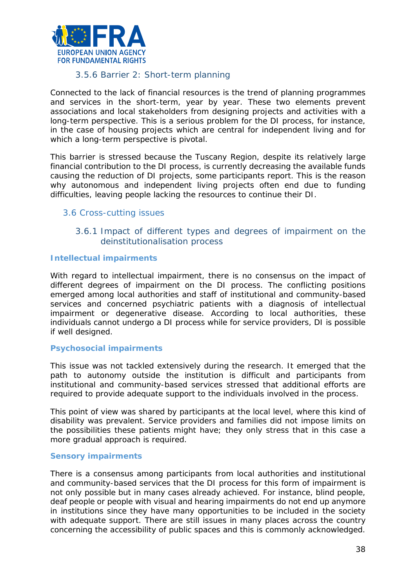

#### 3.5.6 Barrier 2: Short-term planning

Connected to the lack of financial resources is the trend of planning programmes and services in the short-term, year by year. These two elements prevent associations and local stakeholders from designing projects and activities with a long-term perspective. This is a serious problem for the DI process, for instance, in the case of housing projects which are central for independent living and for which a long-term perspective is pivotal.

This barrier is stressed because the Tuscany Region, despite its relatively large financial contribution to the DI process, is currently decreasing the available funds causing the reduction of DI projects, some participants report. This is the reason why autonomous and independent living projects often end due to funding difficulties, leaving people lacking the resources to continue their DI.

#### <span id="page-37-0"></span>3.6 Cross-cutting issues

3.6.1 Impact of different types and degrees of impairment on the deinstitutionalisation process

#### *Intellectual impairments*

With regard to intellectual impairment, there is no consensus on the impact of different degrees of impairment on the DI process. The conflicting positions emerged among local authorities and staff of institutional and community-based services and concerned psychiatric patients with a diagnosis of intellectual impairment or degenerative disease. According to local authorities, these individuals cannot undergo a DI process while for service providers, DI is possible if well designed.

#### *Psychosocial impairments*

This issue was not tackled extensively during the research. It emerged that the path to autonomy outside the institution is difficult and participants from institutional and community-based services stressed that additional efforts are required to provide adequate support to the individuals involved in the process.

This point of view was shared by participants at the local level, where this kind of disability was prevalent. Service providers and families did not impose limits on the possibilities these patients might have; they only stress that in this case a more gradual approach is required.

#### *Sensory impairments*

There is a consensus among participants from local authorities and institutional and community-based services that the DI process for this form of impairment is not only possible but in many cases already achieved. For instance, blind people, deaf people or people with visual and hearing impairments do not end up anymore in institutions since they have many opportunities to be included in the society with adequate support. There are still issues in many places across the country concerning the accessibility of public spaces and this is commonly acknowledged.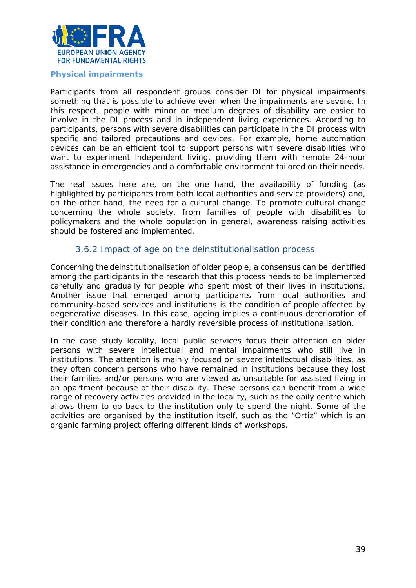

#### *Physical impairments*

Participants from all respondent groups consider DI for physical impairments something that is possible to achieve even when the impairments are severe. In this respect, people with minor or medium degrees of disability are easier to involve in the DI process and in independent living experiences. According to participants, persons with severe disabilities can participate in the DI process with specific and tailored precautions and devices. For example, home automation devices can be an efficient tool to support persons with severe disabilities who want to experiment independent living, providing them with remote 24-hour assistance in emergencies and a comfortable environment tailored on their needs.

The real issues here are, on the one hand, the availability of funding (as highlighted by participants from both local authorities and service providers) and, on the other hand, the need for a cultural change. To promote cultural change concerning the whole society, from families of people with disabilities to policymakers and the whole population in general, awareness raising activities should be fostered and implemented.

#### 3.6.2 Impact of age on the deinstitutionalisation process

Concerning the deinstitutionalisation of older people, a consensus can be identified among the participants in the research that this process needs to be implemented carefully and gradually for people who spent most of their lives in institutions. Another issue that emerged among participants from local authorities and community-based services and institutions is the condition of people affected by degenerative diseases. In this case, ageing implies a continuous deterioration of their condition and therefore a hardly reversible process of institutionalisation.

In the case study locality, local public services focus their attention on older persons with severe intellectual and mental impairments who still live in institutions. The attention is mainly focused on severe intellectual disabilities, as they often concern persons who have remained in institutions because they lost their families and/or persons who are viewed as unsuitable for assisted living in an apartment because of their disability. These persons can benefit from a wide range of recovery activities provided in the locality, such as the daily centre which allows them to go back to the institution only to spend the night. Some of the activities are organised by the institution itself, such as the "Ortiz" which is an organic farming project offering different kinds of workshops.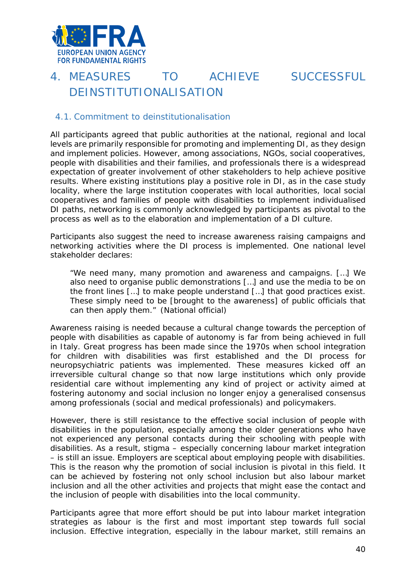

# <span id="page-39-0"></span>4. MEASURES TO ACHIEVE SUCCESSFUL DEINSTITUTIONAL ISATION

#### <span id="page-39-1"></span>4.1. Commitment to deinstitutionalisation

All participants agreed that public authorities at the national, regional and local levels are primarily responsible for promoting and implementing DI, as they design and implement policies. However, among associations, NGOs, social cooperatives, people with disabilities and their families, and professionals there is a widespread expectation of greater involvement of other stakeholders to help achieve positive results. Where existing institutions play a positive role in DI, as in the case study locality, where the large institution cooperates with local authorities, local social cooperatives and families of people with disabilities to implement individualised DI paths, networking is commonly acknowledged by participants as pivotal to the process as well as to the elaboration and implementation of a DI culture.

Participants also suggest the need to increase awareness raising campaigns and networking activities where the DI process is implemented. One national level stakeholder declares:

*"We need many, many promotion and awareness and campaigns. […] We also need to organise public demonstrations […] and use the media to be on the front lines […] to make people understand […] that good practices exist. These simply need to be [brought to the awareness] of public officials that can then apply them."* (National official)

Awareness raising is needed because a cultural change towards the perception of people with disabilities as capable of autonomy is far from being achieved in full in Italy. Great progress has been made since the 1970s when school integration for children with disabilities was first established and the DI process for neuropsychiatric patients was implemented. These measures kicked off an irreversible cultural change so that now large institutions which only provide residential care without implementing any kind of project or activity aimed at fostering autonomy and social inclusion no longer enjoy a generalised consensus among professionals (social and medical professionals) and policymakers.

However, there is still resistance to the effective social inclusion of people with disabilities in the population, especially among the older generations who have not experienced any personal contacts during their schooling with people with disabilities. As a result, stigma – especially concerning labour market integration – is still an issue. Employers are sceptical about employing people with disabilities. This is the reason why the promotion of social inclusion is pivotal in this field. It can be achieved by fostering not only school inclusion but also labour market inclusion and all the other activities and projects that might ease the contact and the inclusion of people with disabilities into the local community.

Participants agree that more effort should be put into labour market integration strategies as labour is the first and most important step towards full social inclusion. Effective integration, especially in the labour market, still remains an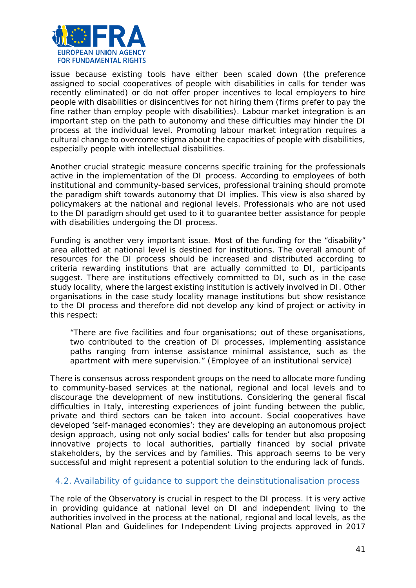

issue because existing tools have either been scaled down (the preference assigned to social cooperatives of people with disabilities in calls for tender was recently eliminated) or do not offer proper incentives to local employers to hire people with disabilities or disincentives for not hiring them (firms prefer to pay the fine rather than employ people with disabilities). Labour market integration is an important step on the path to autonomy and these difficulties may hinder the DI process at the individual level. Promoting labour market integration requires a cultural change to overcome stigma about the capacities of people with disabilities, especially people with intellectual disabilities.

Another crucial strategic measure concerns specific training for the professionals active in the implementation of the DI process. According to employees of both institutional and community-based services, professional training should promote the paradigm shift towards autonomy that DI implies. This view is also shared by policymakers at the national and regional levels. Professionals who are not used to the DI paradigm should get used to it to guarantee better assistance for people with disabilities undergoing the DI process.

Funding is another very important issue. Most of the funding for the "disability" area allotted at national level is destined for institutions. The overall amount of resources for the DI process should be increased and distributed according to criteria rewarding institutions that are actually committed to DI, participants suggest. There are institutions effectively committed to DI, such as in the case study locality, where the largest existing institution is actively involved in DI. Other organisations in the case study locality manage institutions but show resistance to the DI process and therefore did not develop any kind of project or activity in this respect:

*"There are five facilities and four organisations; out of these organisations, two contributed to the creation of DI processes, implementing assistance paths ranging from intense assistance minimal assistance, such as the apartment with mere supervision."* (Employee of an institutional service)

There is consensus across respondent groups on the need to allocate more funding to community-based services at the national, regional and local levels and to discourage the development of new institutions. Considering the general fiscal difficulties in Italy, interesting experiences of joint funding between the public, private and third sectors can be taken into account. Social cooperatives have developed 'self-managed economies': they are developing an autonomous project design approach, using not only social bodies' calls for tender but also proposing innovative projects to local authorities, partially financed by social private stakeholders, by the services and by families. This approach seems to be very successful and might represent a potential solution to the enduring lack of funds.

#### <span id="page-40-0"></span>4.2. Availability of guidance to support the deinstitutionalisation process

The role of the Observatory is crucial in respect to the DI process. It is very active in providing guidance at national level on DI and independent living to the authorities involved in the process at the national, regional and local levels, as the National Plan and Guidelines for Independent Living projects approved in 2017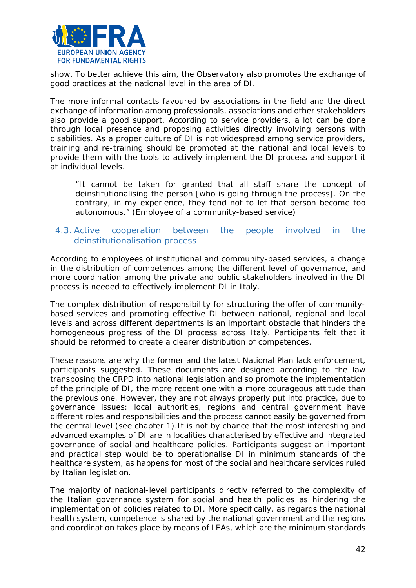

show. To better achieve this aim, the Observatory also promotes the exchange of good practices at the national level in the area of DI.

The more informal contacts favoured by associations in the field and the direct exchange of information among professionals, associations and other stakeholders also provide a good support. According to service providers, a lot can be done through local presence and proposing activities directly involving persons with disabilities. As a proper culture of DI is not widespread among service providers, training and re-training should be promoted at the national and local levels to provide them with the tools to actively implement the DI process and support it at individual levels.

*"It cannot be taken for granted that all staff share the concept of deinstitutionalising the person [who is going through the process]. On the contrary, in my experience, they tend not to let that person become too autonomous."* (Employee of a community-based service)

#### <span id="page-41-0"></span>4.3. Active cooperation between the people involved in the deinstitutionalisation process

According to employees of institutional and community-based services, a change in the distribution of competences among the different level of governance, and more coordination among the private and public stakeholders involved in the DI process is needed to effectively implement DI in Italy.

The complex distribution of responsibility for structuring the offer of communitybased services and promoting effective DI between national, regional and local levels and across different departments is an important obstacle that hinders the homogeneous progress of the DI process across Italy. Participants felt that it should be reformed to create a clearer distribution of competences.

These reasons are why the former and the latest National Plan lack enforcement, participants suggested. These documents are designed according to the law transposing the CRPD into national legislation and so promote the implementation of the principle of DI, the more recent one with a more courageous attitude than the previous one. However, they are not always properly put into practice, due to governance issues: local authorities, regions and central government have different roles and responsibilities and the process cannot easily be governed from the central level (see chapter 1).It is not by chance that the most interesting and advanced examples of DI are in localities characterised by effective and integrated governance of social and healthcare policies. Participants suggest an important and practical step would be to operationalise DI in minimum standards of the healthcare system, as happens for most of the social and healthcare services ruled by Italian legislation.

The majority of national-level participants directly referred to the complexity of the Italian governance system for social and health policies as hindering the implementation of policies related to DI. More specifically, as regards the national health system, competence is shared by the national government and the regions and coordination takes place by means of LEAs, which are the minimum standards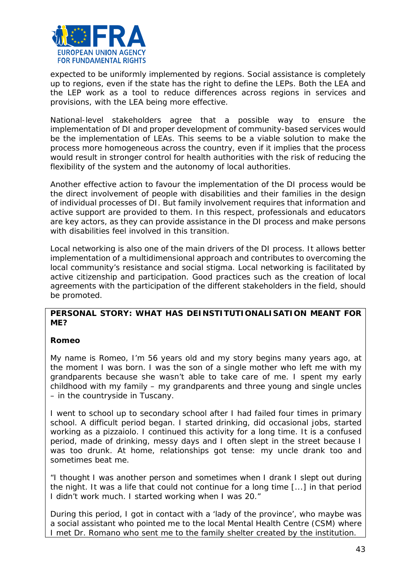

expected to be uniformly implemented by regions. Social assistance is completely up to regions, even if the state has the right to define the LEPs. Both the LEA and the LEP work as a tool to reduce differences across regions in services and provisions, with the LEA being more effective.

National-level stakeholders agree that a possible way to ensure the implementation of DI and proper development of community-based services would be the implementation of LEAs. This seems to be a viable solution to make the process more homogeneous across the country, even if it implies that the process would result in stronger control for health authorities with the risk of reducing the flexibility of the system and the autonomy of local authorities.

Another effective action to favour the implementation of the DI process would be the direct involvement of people with disabilities and their families in the design of individual processes of DI. But family involvement requires that information and active support are provided to them. In this respect, professionals and educators are key actors, as they can provide assistance in the DI process and make persons with disabilities feel involved in this transition.

Local networking is also one of the main drivers of the DI process. It allows better implementation of a multidimensional approach and contributes to overcoming the local community's resistance and social stigma. Local networking is facilitated by active citizenship and participation. Good practices such as the creation of local agreements with the participation of the different stakeholders in the field, should be promoted.

#### **PERSONAL STORY: WHAT HAS DEINSTITUTIONALISATION MEANT FOR ME?**

#### **Romeo**

My name is Romeo, I'm 56 years old and my story begins many years ago, at the moment I was born. I was the son of a single mother who left me with my grandparents because she wasn't able to take care of me. I spent my early childhood with my family – my grandparents and three young and single uncles – in the countryside in Tuscany.

I went to school up to secondary school after I had failed four times in primary school. A difficult period began. I started drinking, did occasional jobs, started working as a *pizzaiolo*. I continued this activity for a long time. It is a confused period, made of drinking, messy days and I often slept in the street because I was too drunk. At home, relationships got tense: my uncle drank too and sometimes beat me.

"I thought I was another person and sometimes when I drank I slept out during the night. It was a life that could not continue for a long time [...] in that period I didn't work much. I started working when I was 20."

During this period, I got in contact with a 'lady of the province', who maybe was a social assistant who pointed me to the local *Mental Health Centre (*CSM) where I met Dr. Romano who sent me to the family shelter created by the institution.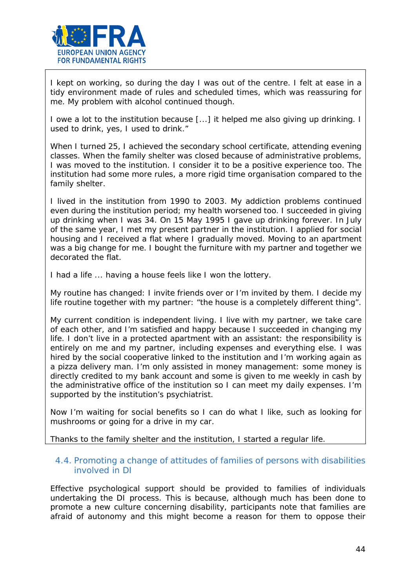

I kept on working, so during the day I was out of the centre. I felt at ease in a tidy environment made of rules and scheduled times, which was reassuring for me. My problem with alcohol continued though.

I owe a lot to the institution because [...] it helped me also giving up drinking. I used to drink, yes, I used to drink."

When I turned 25, I achieved the secondary school certificate, attending evening classes. When the family shelter was closed because of administrative problems, I was moved to the institution. I consider it to be a positive experience too. The institution had some more rules, a more rigid time organisation compared to the family shelter.

I lived in the institution from 1990 to 2003. My addiction problems continued even during the institution period; my health worsened too. I succeeded in giving up drinking when I was 34. On 15 May 1995 I gave up drinking forever. In July of the same year, I met my present partner in the institution. I applied for social housing and I received a flat where I gradually moved. Moving to an apartment was a big change for me. I bought the furniture with my partner and together we decorated the flat.

I had a life ... having a house feels like I won the lottery.

My routine has changed: I invite friends over or I'm invited by them. I decide my life routine together with my partner: "the house is a completely different thing".

My current condition is independent living. I live with my partner, we take care of each other, and I'm satisfied and happy because I succeeded in changing my life. I don't live in a protected apartment with an assistant: the responsibility is entirely on me and my partner, including expenses and everything else. I was hired by the social cooperative linked to the institution and I'm working again as a pizza delivery man. I'm only assisted in money management: some money is directly credited to my bank account and some is given to me weekly in cash by the administrative office of the institution so I can meet my daily expenses. I'm supported by the institution's psychiatrist.

Now I'm waiting for social benefits so I can do what I like, such as looking for mushrooms or going for a drive in my car.

Thanks to the family shelter and the institution, I started a regular life.

#### <span id="page-43-0"></span>4.4. Promoting a change of attitudes of families of persons with disabilities involved in DI

Effective psychological support should be provided to families of individuals undertaking the DI process. This is because, although much has been done to promote a new culture concerning disability, participants note that families are afraid of autonomy and this might become a reason for them to oppose their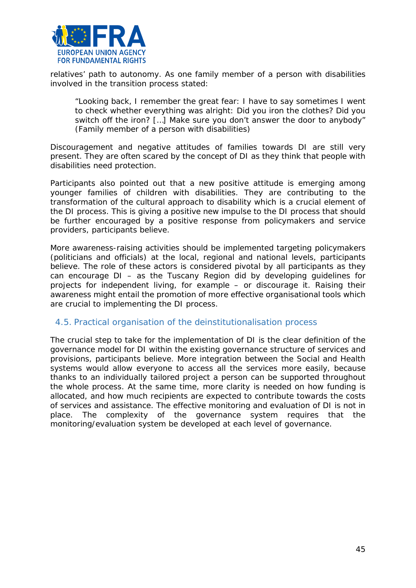

relatives' path to autonomy. As one family member of a person with disabilities involved in the transition process stated:

*"Looking back, I remember the great fear: I have to say sometimes I went to check whether everything was alright: Did you iron the clothes? Did you switch off the iron? […] Make sure you don't answer the door to anybody"*  (Family member of a person with disabilities)

Discouragement and negative attitudes of families towards DI are still very present. They are often scared by the concept of DI as they think that people with disabilities need protection.

Participants also pointed out that a new positive attitude is emerging among younger families of children with disabilities. They are contributing to the transformation of the cultural approach to disability which is a crucial element of the DI process. This is giving a positive new impulse to the DI process that should be further encouraged by a positive response from policymakers and service providers, participants believe.

More awareness-raising activities should be implemented targeting policymakers (politicians and officials) at the local, regional and national levels, participants believe. The role of these actors is considered pivotal by all participants as they can encourage DI – as the Tuscany Region did by developing guidelines for projects for independent living, for example – or discourage it. Raising their awareness might entail the promotion of more effective organisational tools which are crucial to implementing the DI process.

#### <span id="page-44-0"></span>4.5. Practical organisation of the deinstitutionalisation process

The crucial step to take for the implementation of DI is the clear definition of the governance model for DI within the existing governance structure of services and provisions, participants believe. More integration between the Social and Health systems would allow everyone to access all the services more easily, because thanks to an individually tailored project a person can be supported throughout the whole process. At the same time, more clarity is needed on how funding is allocated, and how much recipients are expected to contribute towards the costs of services and assistance. The effective monitoring and evaluation of DI is not in place. The complexity of the governance system requires that the monitoring/evaluation system be developed at each level of governance.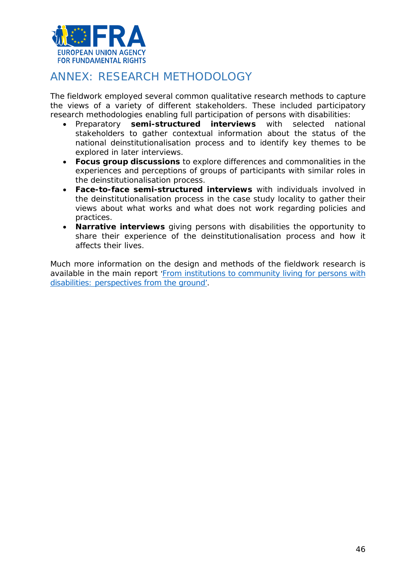

# <span id="page-45-0"></span>ANNEX: RESEARCH METHODOLOGY

The fieldwork employed several common qualitative research methods to capture the views of a variety of different stakeholders. These included participatory research methodologies enabling full participation of persons with disabilities:

- Preparatory **semi-structured interviews** with selected national stakeholders to gather contextual information about the status of the national deinstitutionalisation process and to identify key themes to be explored in later interviews.
- **Focus group discussions** to explore differences and commonalities in the experiences and perceptions of groups of participants with similar roles in the deinstitutionalisation process.
- **Face-to-face semi-structured interviews** with individuals involved in the deinstitutionalisation process in the case study locality to gather their views about what works and what does not work regarding policies and practices.
- **Narrative interviews** giving persons with disabilities the opportunity to share their experience of the deinstitutionalisation process and how it affects their lives.

Much more information on the design and methods of the fieldwork research is available in the main report ['From institutions to community living for persons with](http://fra.europa.eu/en/publication/2018/independent-living-reality)  [disabilities: perspectives from the ground'](http://fra.europa.eu/en/publication/2018/independent-living-reality).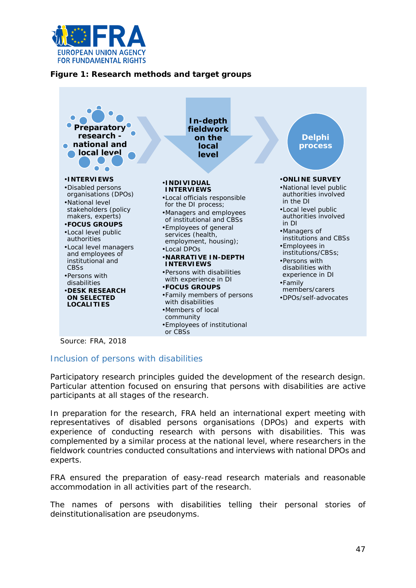

#### **Figure 1: Research methods and target groups**



*Source: FRA, 2018*

#### Inclusion of persons with disabilities

Participatory research principles guided the development of the research design. Particular attention focused on ensuring that persons with disabilities are active participants at all stages of the research.

In preparation for the research, FRA held an international expert meeting with representatives of disabled persons organisations (DPOs) and experts with experience of conducting research with persons with disabilities. This was complemented by a similar process at the national level, where researchers in the fieldwork countries conducted consultations and interviews with national DPOs and experts.

FRA ensured the preparation of easy-read research materials and reasonable accommodation in all activities part of the research.

The names of persons with disabilities telling their personal stories of deinstitutionalisation are pseudonyms.